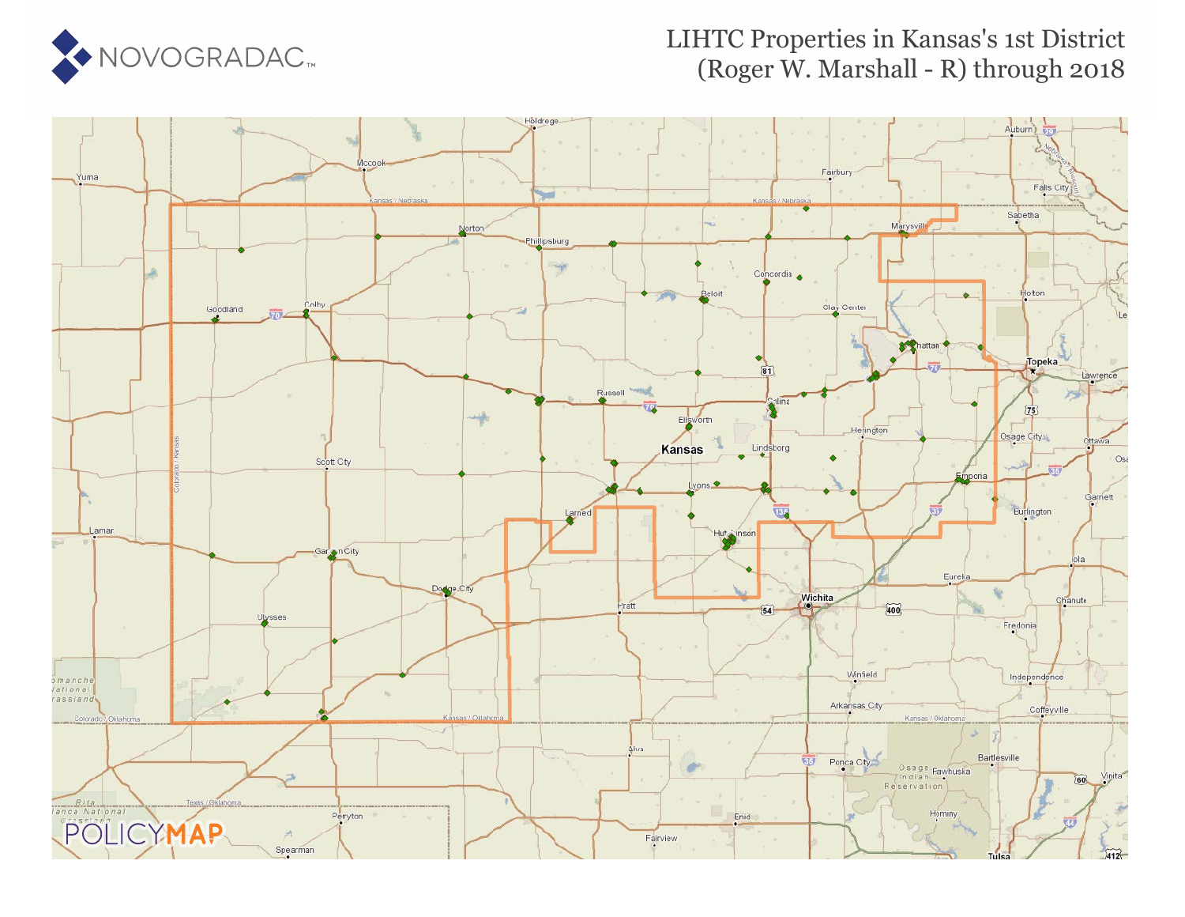

#### LIHTC Properties in Kansas's 1st District (Roger W. Marshall - R) through 2018

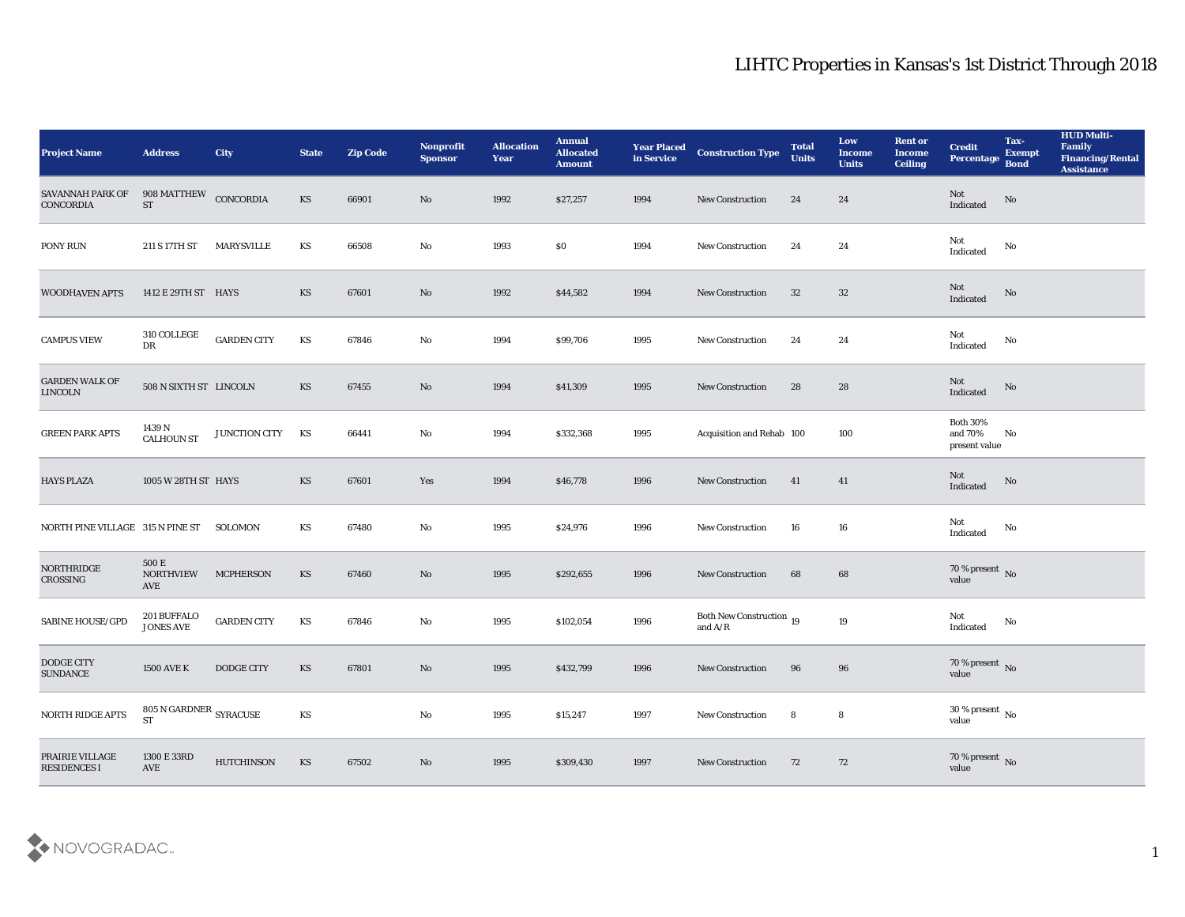| <b>Project Name</b>                     | <b>Address</b>                               | City               | <b>State</b>           | <b>Zip Code</b> | Nonprofit<br><b>Sponsor</b> | <b>Allocation</b><br><b>Year</b> | <b>Annual</b><br><b>Allocated</b><br><b>Amount</b> | <b>Year Placed</b><br>in Service | <b>Construction Type</b>                                                                        | <b>Total</b><br><b>Units</b> | Low<br><b>Income</b><br><b>Units</b> | <b>Rent or</b><br><b>Income</b><br><b>Ceiling</b> | <b>Credit</b><br>Percentage Bond            | Tax-<br><b>Exempt</b>  | <b>HUD Multi-</b><br>Family<br><b>Financing/Rental</b><br><b>Assistance</b> |
|-----------------------------------------|----------------------------------------------|--------------------|------------------------|-----------------|-----------------------------|----------------------------------|----------------------------------------------------|----------------------------------|-------------------------------------------------------------------------------------------------|------------------------------|--------------------------------------|---------------------------------------------------|---------------------------------------------|------------------------|-----------------------------------------------------------------------------|
| SAVANNAH PARK OF<br><b>CONCORDIA</b>    | 908 MATTHEW CONCORDIA<br><b>ST</b>           |                    | KS                     | 66901           | No                          | 1992                             | \$27,257                                           | 1994                             | <b>New Construction</b>                                                                         | 24                           | 24                                   |                                                   | Not<br>Indicated                            | $\mathbf{N}\mathbf{o}$ |                                                                             |
| PONY RUN                                | 211 S 17TH ST                                | MARYSVILLE         | KS                     | 66508           | No                          | 1993                             | \$0                                                | 1994                             | <b>New Construction</b>                                                                         | 24                           | 24                                   |                                                   | Not<br>Indicated                            | No                     |                                                                             |
| <b>WOODHAVEN APTS</b>                   | 1412 E 29TH ST HAYS                          |                    | KS                     | 67601           | No                          | 1992                             | \$44,582                                           | 1994                             | <b>New Construction</b>                                                                         | 32                           | 32                                   |                                                   | Not<br>Indicated                            | No                     |                                                                             |
| <b>CAMPUS VIEW</b>                      | 310 COLLEGE<br>$\mathbf{D}\mathbf{R}$        | <b>GARDEN CITY</b> | KS                     | 67846           | No                          | 1994                             | \$99,706                                           | 1995                             | <b>New Construction</b>                                                                         | 24                           | 24                                   |                                                   | Not<br>Indicated                            | No                     |                                                                             |
| <b>GARDEN WALK OF</b><br><b>LINCOLN</b> | 508 N SIXTH ST LINCOLN                       |                    | <b>KS</b>              | 67455           | No                          | 1994                             | \$41,309                                           | 1995                             | <b>New Construction</b>                                                                         | 28                           | 28                                   |                                                   | Not<br>Indicated                            | No                     |                                                                             |
| <b>GREEN PARK APTS</b>                  | 1439 N<br><b>CALHOUN ST</b>                  | JUNCTION CITY      | KS                     | 66441           | No                          | 1994                             | \$332,368                                          | 1995                             | Acquisition and Rehab 100                                                                       |                              | 100                                  |                                                   | <b>Both 30%</b><br>and 70%<br>present value | No                     |                                                                             |
| <b>HAYS PLAZA</b>                       | 1005 W 28TH ST HAYS                          |                    | KS                     | 67601           | Yes                         | 1994                             | \$46,778                                           | 1996                             | <b>New Construction</b>                                                                         | 41                           | 41                                   |                                                   | Not<br>Indicated                            | No                     |                                                                             |
| NORTH PINE VILLAGE 315 N PINE ST        |                                              | SOLOMON            | KS                     | 67480           | No                          | 1995                             | \$24,976                                           | 1996                             | <b>New Construction</b>                                                                         | 16                           | 16                                   |                                                   | Not<br>Indicated                            | No                     |                                                                             |
| NORTHRIDGE<br>CROSSING                  | 500 E<br><b>NORTHVIEW</b><br>AVE             | <b>MCPHERSON</b>   | KS                     | 67460           | No                          | 1995                             | \$292,655                                          | 1996                             | <b>New Construction</b>                                                                         | 68                           | 68                                   |                                                   | $70$ % present $_{\rm No}$                  |                        |                                                                             |
| SABINE HOUSE/GPD                        | $201$ BUFFALO $\,$<br><b>JONES AVE</b>       | <b>GARDEN CITY</b> | KS                     | 67846           | No                          | 1995                             | \$102,054                                          | 1996                             | Both New Construction 19<br>and $\ensuremath{\mathrm{A}}\xspace/\ensuremath{\mathrm{R}}\xspace$ |                              | 19                                   |                                                   | Not<br>Indicated                            | No                     |                                                                             |
| <b>DODGE CITY</b><br><b>SUNDANCE</b>    | <b>1500 AVE K</b>                            | <b>DODGE CITY</b>  | KS                     | 67801           | No                          | 1995                             | \$432,799                                          | 1996                             | <b>New Construction</b>                                                                         | 96                           | 96                                   |                                                   | 70 % present No<br>value                    |                        |                                                                             |
| NORTH RIDGE APTS                        | 805 N GARDNER $_{\rm SYRACUSE}$<br><b>ST</b> |                    | $\mathbf{K}\mathbf{S}$ |                 | $\rm\, No$                  | 1995                             | \$15,247                                           | 1997                             | <b>New Construction</b>                                                                         | 8                            | ${\bf 8}$                            |                                                   | $30\,\%$ present $\,$ No value              |                        |                                                                             |
| PRAIRIE VILLAGE<br>RESIDENCES I         | 1300 E 33RD<br>AVE                           | <b>HUTCHINSON</b>  | $\mathbf{K}\mathbf{S}$ | 67502           | $\rm\thinspace No$          | 1995                             | \$309,430                                          | 1997                             | <b>New Construction</b>                                                                         | 72                           | 72                                   |                                                   | $70\,\%$ present $\,$ No value              |                        |                                                                             |

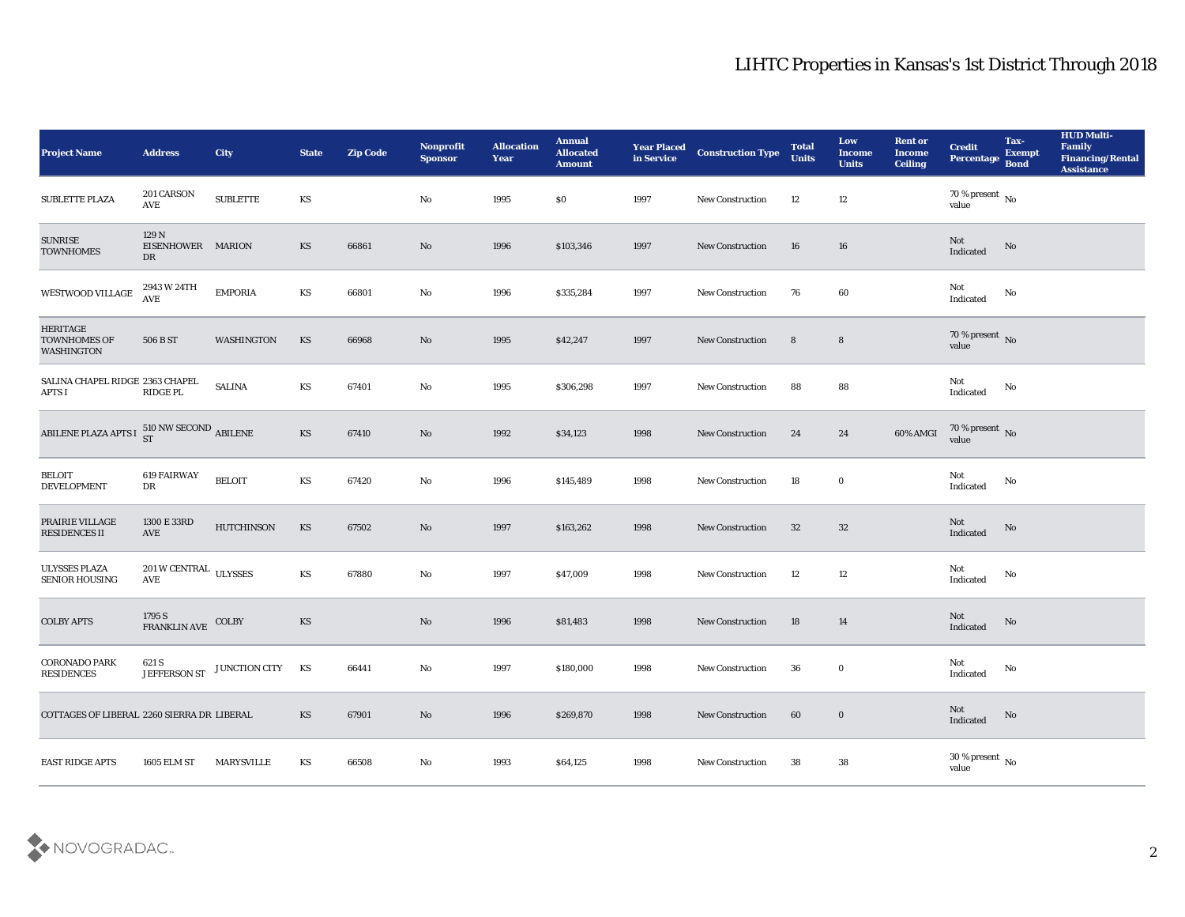| <b>Project Name</b>                                         | <b>Address</b>                                           | City              | <b>State</b>           | <b>Zip Code</b> | Nonprofit<br><b>Sponsor</b> | <b>Allocation</b><br><b>Year</b> | <b>Annual</b><br><b>Allocated</b><br><b>Amount</b> | <b>Year Placed</b><br>in Service | <b>Construction Type</b> | <b>Total</b><br><b>Units</b> | Low<br><b>Income</b><br><b>Units</b> | <b>Rent or</b><br><b>Income</b><br><b>Ceiling</b> | <b>Credit</b><br>Percentage        | Tax-<br><b>Exempt</b><br><b>Bond</b> | <b>HUD Multi-</b><br>Family<br><b>Financing/Rental</b><br><b>Assistance</b> |
|-------------------------------------------------------------|----------------------------------------------------------|-------------------|------------------------|-----------------|-----------------------------|----------------------------------|----------------------------------------------------|----------------------------------|--------------------------|------------------------------|--------------------------------------|---------------------------------------------------|------------------------------------|--------------------------------------|-----------------------------------------------------------------------------|
| <b>SUBLETTE PLAZA</b>                                       | 201 CARSON<br>AVE                                        | <b>SUBLETTE</b>   | KS                     |                 | No                          | 1995                             | $\$0$                                              | 1997                             | <b>New Construction</b>  | 12                           | 12                                   |                                                   | $70\,\%$ present $\,$ No value     |                                      |                                                                             |
| <b>SUNRISE</b><br><b>TOWNHOMES</b>                          | 129 N<br>EISENHOWER MARION<br>DR                         |                   | KS                     | 66861           | No                          | 1996                             | \$103,346                                          | 1997                             | <b>New Construction</b>  | 16                           | 16                                   |                                                   | Not<br>Indicated                   | No                                   |                                                                             |
| WESTWOOD VILLAGE                                            | 2943 W 24TH<br>AVE                                       | <b>EMPORIA</b>    | KS                     | 66801           | $\mathbf{N}\mathbf{o}$      | 1996                             | \$335,284                                          | 1997                             | <b>New Construction</b>  | 76                           | 60                                   |                                                   | Not<br>Indicated                   | No                                   |                                                                             |
| <b>HERITAGE</b><br><b>TOWNHOMES OF</b><br><b>WASHINGTON</b> | 506 B ST                                                 | WASHINGTON        | KS                     | 66968           | $\rm No$                    | 1995                             | \$42,247                                           | 1997                             | New Construction         | 8                            | $8\phantom{1}$                       |                                                   | $70\,\%$ present $\,$ No value     |                                      |                                                                             |
| SALINA CHAPEL RIDGE 2363 CHAPEL<br><b>APTS I</b>            | <b>RIDGE PL</b>                                          | <b>SALINA</b>     | KS                     | 67401           | $\mathbf{N}\mathbf{o}$      | 1995                             | \$306,298                                          | 1997                             | New Construction         | 88                           | 88                                   |                                                   | Not<br>Indicated                   | No                                   |                                                                             |
| ABILENE PLAZA APTS I $^{510}_{\rm ST}$ NW SECOND ABILENE    |                                                          |                   | KS                     | 67410           | $\rm No$                    | 1992                             | \$34,123                                           | 1998                             | New Construction         | 24                           | 24                                   | 60% AMGI                                          | $70\,\%$ present $\,$ No value     |                                      |                                                                             |
| <b>BELOIT</b><br><b>DEVELOPMENT</b>                         | 619 FAIRWAY<br>DR                                        | <b>BELOIT</b>     | KS                     | 67420           | $\mathbf{N}\mathbf{o}$      | 1996                             | \$145,489                                          | 1998                             | New Construction         | 18                           | $\bf{0}$                             |                                                   | Not<br>Indicated                   | $\mathbf{N}\mathbf{o}$               |                                                                             |
| PRAIRIE VILLAGE<br><b>RESIDENCES II</b>                     | 1300 E 33RD<br>AVE                                       | <b>HUTCHINSON</b> | KS                     | 67502           | $\rm No$                    | 1997                             | \$163,262                                          | 1998                             | <b>New Construction</b>  | 32                           | 32                                   |                                                   | Not<br>Indicated                   | No                                   |                                                                             |
| <b>ULYSSES PLAZA</b><br><b>SENIOR HOUSING</b>               | $201\,\rm{W}\,\rm{C}\,\rm{ENT}\,\rm{RAL}$ ULYSSES<br>AVE |                   | KS                     | 67880           | No                          | 1997                             | \$47,009                                           | 1998                             | <b>New Construction</b>  | 12                           | 12                                   |                                                   | Not<br>$\operatorname{Indicated}$  | No                                   |                                                                             |
| <b>COLBY APTS</b>                                           | 1795 S<br>FRANKLIN AVE                                   | COLBY             | KS                     |                 | $\mathbf {No}$              | 1996                             | \$81,483                                           | 1998                             | New Construction         | 18                           | 14                                   |                                                   | Not<br>Indicated                   | No                                   |                                                                             |
| <b>CORONADO PARK</b><br><b>RESIDENCES</b>                   | 621 S<br><b>JEFFERSON ST</b>                             | JUNCTION CITY KS  |                        | 66441           | No                          | 1997                             | \$180,000                                          | 1998                             | <b>New Construction</b>  | 36                           | $\bf{0}$                             |                                                   | Not<br>Indicated                   | No                                   |                                                                             |
| COTTAGES OF LIBERAL 2260 SIERRA DR LIBERAL                  |                                                          |                   | $\mathbf{K}\mathbf{S}$ | 67901           | $\mathbf {No}$              | 1996                             | \$269,870                                          | 1998                             | New Construction         | 60                           | $\bf{0}$                             |                                                   | Not<br>Indicated                   | $\rm\thinspace No$                   |                                                                             |
| <b>EAST RIDGE APTS</b>                                      | <b>1605 ELM ST</b>                                       | <b>MARYSVILLE</b> | KS                     | 66508           | $\mathbf {No}$              | 1993                             | \$64,125                                           | 1998                             | New Construction         | 38                           | ${\bf 38}$                           |                                                   | 30 % present $\,$ No $\,$<br>value |                                      |                                                                             |

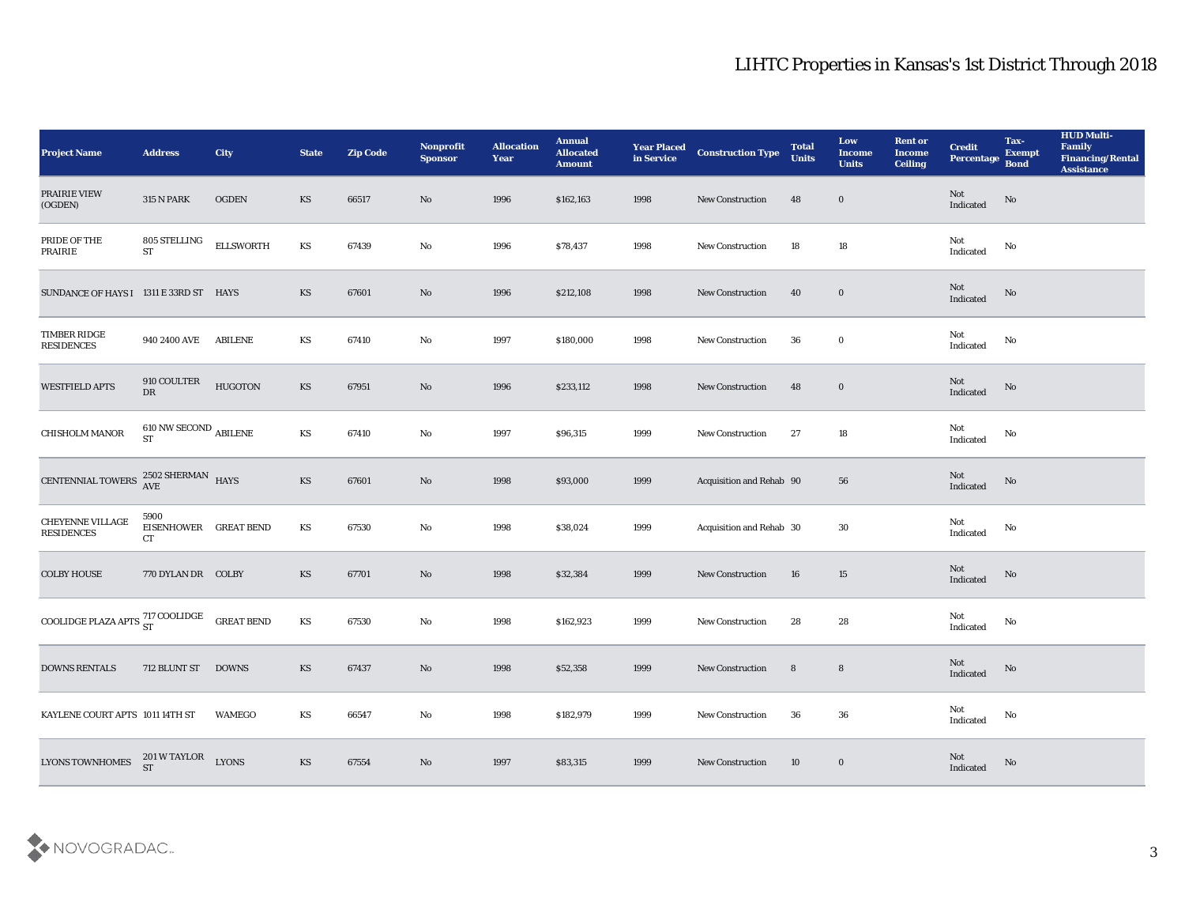| <b>Project Name</b>                            | <b>Address</b>                               | <b>City</b>       | <b>State</b>           | <b>Zip Code</b> | Nonprofit<br><b>Sponsor</b> | <b>Allocation</b><br><b>Year</b> | <b>Annual</b><br><b>Allocated</b><br><b>Amount</b> | <b>Year Placed</b><br>in Service | <b>Construction Type</b> | <b>Total</b><br><b>Units</b> | Low<br><b>Income</b><br><b>Units</b> | <b>Rent or</b><br><b>Income</b><br><b>Ceiling</b> | <b>Credit</b><br>Percentage Bond                  | Tax-<br><b>Exempt</b>  | <b>HUD Multi-</b><br>Family<br><b>Financing/Rental</b><br><b>Assistance</b> |
|------------------------------------------------|----------------------------------------------|-------------------|------------------------|-----------------|-----------------------------|----------------------------------|----------------------------------------------------|----------------------------------|--------------------------|------------------------------|--------------------------------------|---------------------------------------------------|---------------------------------------------------|------------------------|-----------------------------------------------------------------------------|
| PRAIRIE VIEW<br>(OGDEN)                        | <b>315 N PARK</b>                            | <b>OGDEN</b>      | KS                     | 66517           | No                          | 1996                             | \$162,163                                          | 1998                             | New Construction         | 48                           | $\bf{0}$                             |                                                   | Not<br>$\label{thm:indicated} \textbf{Indicated}$ | No                     |                                                                             |
| PRIDE OF THE<br><b>PRAIRIE</b>                 | 805 STELLING<br>$\operatorname{ST}$          | <b>ELLSWORTH</b>  | KS                     | 67439           | No                          | 1996                             | \$78,437                                           | 1998                             | <b>New Construction</b>  | 18                           | 18                                   |                                                   | Not<br>$\operatorname{Indicated}$                 | No                     |                                                                             |
| SUNDANCE OF HAYS I 1311 E 33RD ST HAYS         |                                              |                   | KS                     | 67601           | No                          | 1996                             | \$212,108                                          | 1998                             | New Construction         | 40                           | $\bf{0}$                             |                                                   | Not<br>Indicated                                  | $\mathbf {No}$         |                                                                             |
| TIMBER RIDGE<br><b>RESIDENCES</b>              | 940 2400 AVE                                 | <b>ABILENE</b>    | KS                     | 67410           | $\mathbf{N}\mathbf{o}$      | 1997                             | \$180,000                                          | 1998                             | <b>New Construction</b>  | 36                           | $\bf{0}$                             |                                                   | Not<br>$\operatorname{Indicated}$                 | No                     |                                                                             |
| <b>WESTFIELD APTS</b>                          | 910 COULTER<br>DR                            | <b>HUGOTON</b>    | KS                     | 67951           | No                          | 1996                             | \$233,112                                          | 1998                             | <b>New Construction</b>  | 48                           | $\bf{0}$                             |                                                   | Not<br>Indicated                                  | No                     |                                                                             |
| CHISHOLM MANOR                                 | $610$ NW SECOND $_{\rm ABLENE}$<br><b>ST</b> |                   | KS                     | 67410           | No                          | 1997                             | \$96,315                                           | 1999                             | <b>New Construction</b>  | 27                           | 18                                   |                                                   | Not<br>Indicated                                  | No                     |                                                                             |
| CENTENNIAL TOWERS                              | $2502$ SHERMAN $$\,{\rm HAYS}$$              |                   | KS                     | 67601           | No                          | 1998                             | \$93,000                                           | 1999                             | Acquisition and Rehab 90 |                              | 56                                   |                                                   | Not<br>Indicated                                  | $\mathbf {No}$         |                                                                             |
| CHEYENNE VILLAGE<br><b>RESIDENCES</b>          | 5900<br>EISENHOWER GREAT BEND<br>CT          |                   | KS                     | 67530           | No                          | 1998                             | \$38,024                                           | 1999                             | Acquisition and Rehab 30 |                              | 30                                   |                                                   | Not<br>Indicated                                  | No                     |                                                                             |
| <b>COLBY HOUSE</b>                             | 770 DYLAN DR COLBY                           |                   | KS                     | 67701           | No                          | 1998                             | \$32,384                                           | 1999                             | <b>New Construction</b>  | 16                           | 15                                   |                                                   | Not<br>Indicated                                  | No                     |                                                                             |
| COOLIDGE PLAZA APTS $^{717}_{\rm ST}$ COOLIDGE |                                              | <b>GREAT BEND</b> | KS                     | 67530           | No                          | 1998                             | \$162,923                                          | 1999                             | <b>New Construction</b>  | 28                           | 28                                   |                                                   | Not<br>Indicated                                  | No                     |                                                                             |
| <b>DOWNS RENTALS</b>                           | 712 BLUNT ST                                 | <b>DOWNS</b>      | KS                     | 67437           | No                          | 1998                             | \$52,358                                           | 1999                             | <b>New Construction</b>  | 8                            | 8                                    |                                                   | Not<br>Indicated                                  | No                     |                                                                             |
| KAYLENE COURT APTS 1011 14TH ST                |                                              | <b>WAMEGO</b>     | $\mathbf{K}\mathbf{S}$ | 66547           | $\rm\, No$                  | 1998                             | \$182,979                                          | 1999                             | New Construction         | 36                           | ${\bf 36}$                           |                                                   | Not<br>$\operatorname{Indicated}$                 | $\mathbf{N}\mathbf{o}$ |                                                                             |
| <b>LYONS TOWNHOMES</b>                         | 201 W TAYLOR<br><b>ST</b>                    | <b>LYONS</b>      | KS                     | 67554           | $\rm\thinspace No$          | 1997                             | \$83,315                                           | 1999                             | <b>New Construction</b>  | 10                           | $\bf{0}$                             |                                                   | Not<br>Indicated                                  | $\rm\thinspace No$     |                                                                             |

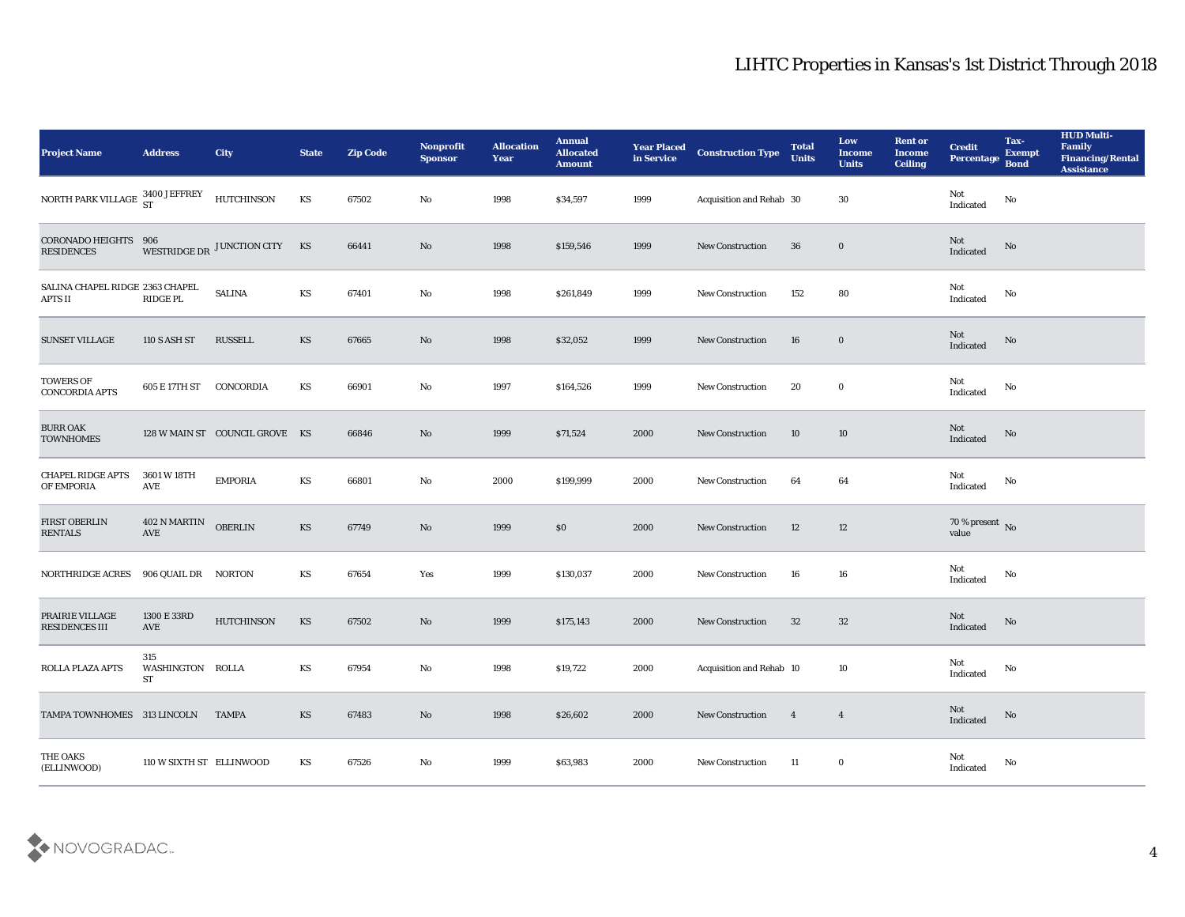| <b>Project Name</b>                                                                  | <b>Address</b>                       | City                           | <b>State</b>           | <b>Zip Code</b> | Nonprofit<br><b>Sponsor</b> | <b>Allocation</b><br><b>Year</b> | <b>Annual</b><br><b>Allocated</b><br><b>Amount</b> | <b>Year Placed</b><br>in Service | <b>Construction Type</b>    | <b>Total</b><br><b>Units</b> | Low<br><b>Income</b><br><b>Units</b> | <b>Rent or</b><br><b>Income</b><br><b>Ceiling</b> | <b>Credit</b><br>Percentage           | Tax-<br><b>Exempt</b><br><b>Bond</b> | <b>HUD Multi-</b><br>Family<br><b>Financing/Rental</b><br><b>Assistance</b> |
|--------------------------------------------------------------------------------------|--------------------------------------|--------------------------------|------------------------|-----------------|-----------------------------|----------------------------------|----------------------------------------------------|----------------------------------|-----------------------------|------------------------------|--------------------------------------|---------------------------------------------------|---------------------------------------|--------------------------------------|-----------------------------------------------------------------------------|
| NORTH PARK VILLAGE $\begin{array}{cc} 3400 \text{ JEFFREV} \\ \text{ST} \end{array}$ |                                      | <b>HUTCHINSON</b>              | KS                     | 67502           | No                          | 1998                             | \$34,597                                           | 1999                             | Acquisition and Rehab 30    |                              | 30                                   |                                                   | Not<br>Indicated                      | No                                   |                                                                             |
| <b>CORONADO HEIGHTS</b><br><b>RESIDENCES</b>                                         | 906                                  | WESTRIDGE DR JUNCTION CITY KS  |                        | 66441           | No                          | 1998                             | \$159,546                                          | 1999                             | <b>New Construction</b>     | 36                           | $\bf{0}$                             |                                                   | Not<br>Indicated                      | No                                   |                                                                             |
| SALINA CHAPEL RIDGE 2363 CHAPEL<br><b>APTS II</b>                                    | RIDGE PL                             | <b>SALINA</b>                  | KS                     | 67401           | $\mathbf{N}\mathbf{o}$      | 1998                             | \$261,849                                          | 1999                             | <b>New Construction</b>     | 152                          | 80                                   |                                                   | Not<br>Indicated                      | No                                   |                                                                             |
| <b>SUNSET VILLAGE</b>                                                                | 110 S ASH ST                         | <b>RUSSELL</b>                 | KS                     | 67665           | No                          | 1998                             | \$32,052                                           | 1999                             | New Construction            | 16                           | $\bf{0}$                             |                                                   | Not<br>Indicated                      | No                                   |                                                                             |
| <b>TOWERS OF</b><br><b>CONCORDIA APTS</b>                                            | 605 E 17TH ST                        | CONCORDIA                      | KS                     | 66901           | No                          | 1997                             | \$164,526                                          | 1999                             | New Construction            | 20                           | $\bf{0}$                             |                                                   | Not<br>Indicated                      | No                                   |                                                                             |
| <b>BURR OAK</b><br><b>TOWNHOMES</b>                                                  |                                      | 128 W MAIN ST COUNCIL GROVE KS |                        | 66846           | No                          | 1999                             | \$71,524                                           | 2000                             | <b>New Construction</b>     | 10                           | 10                                   |                                                   | Not<br>Indicated                      | No                                   |                                                                             |
| <b>CHAPEL RIDGE APTS</b><br>OF EMPORIA                                               | 3601 W 18TH<br>AVE                   | <b>EMPORIA</b>                 | KS                     | 66801           | No                          | 2000                             | \$199,999                                          | 2000                             | <b>New Construction</b>     | 64                           | 64                                   |                                                   | Not<br>Indicated                      | No                                   |                                                                             |
| <b>FIRST OBERLIN</b><br><b>RENTALS</b>                                               | 402 N MARTIN<br>AVE                  | <b>OBERLIN</b>                 | KS                     | 67749           | No                          | 1999                             | $\$0$                                              | 2000                             | <b>New Construction</b>     | 12                           | 12                                   |                                                   | 70 % present $\,$ No $\,$<br>value    |                                      |                                                                             |
| NORTHRIDGE ACRES                                                                     | 906 QUAIL DR NORTON                  |                                | KS                     | 67654           | Yes                         | 1999                             | \$130,037                                          | 2000                             | <b>New Construction</b>     | 16                           | 16                                   |                                                   | Not<br>Indicated                      | No                                   |                                                                             |
| PRAIRIE VILLAGE<br><b>RESIDENCES III</b>                                             | 1300 E 33RD<br>AVE                   | <b>HUTCHINSON</b>              | KS                     | 67502           | No                          | 1999                             | \$175,143                                          | 2000                             | <b>New Construction</b>     | 32                           | 32                                   |                                                   | Not<br>Indicated                      | No                                   |                                                                             |
| ROLLA PLAZA APTS                                                                     | 315<br>WASHINGTON ROLLA<br><b>ST</b> |                                | KS                     | 67954           | No                          | 1998                             | \$19,722                                           | 2000                             | Acquisition and Rehab 10    |                              | 10                                   |                                                   | Not<br>Indicated                      | No                                   |                                                                             |
| TAMPA TOWNHOMES 313 LINCOLN                                                          |                                      | <b>TAMPA</b>                   | $\mathbf{K}\mathbf{S}$ | 67483           | $\rm\, No$                  | 1998                             | \$26,602                                           | 2000                             | ${\hbox{New Construction}}$ | $\overline{4}$               | $\overline{\mathbf{4}}$              |                                                   | $\operatorname{\bf Not}$<br>Indicated | $\rm No$                             |                                                                             |
| THE OAKS<br>(ELLINWOOD)                                                              | 110 W SIXTH ST ELLINWOOD             |                                | KS                     | 67526           | $\rm\, No$                  | 1999                             | \$63,983                                           | 2000                             | New Construction            | 11                           | $\bf{0}$                             |                                                   | Not<br>Indicated                      | No                                   |                                                                             |

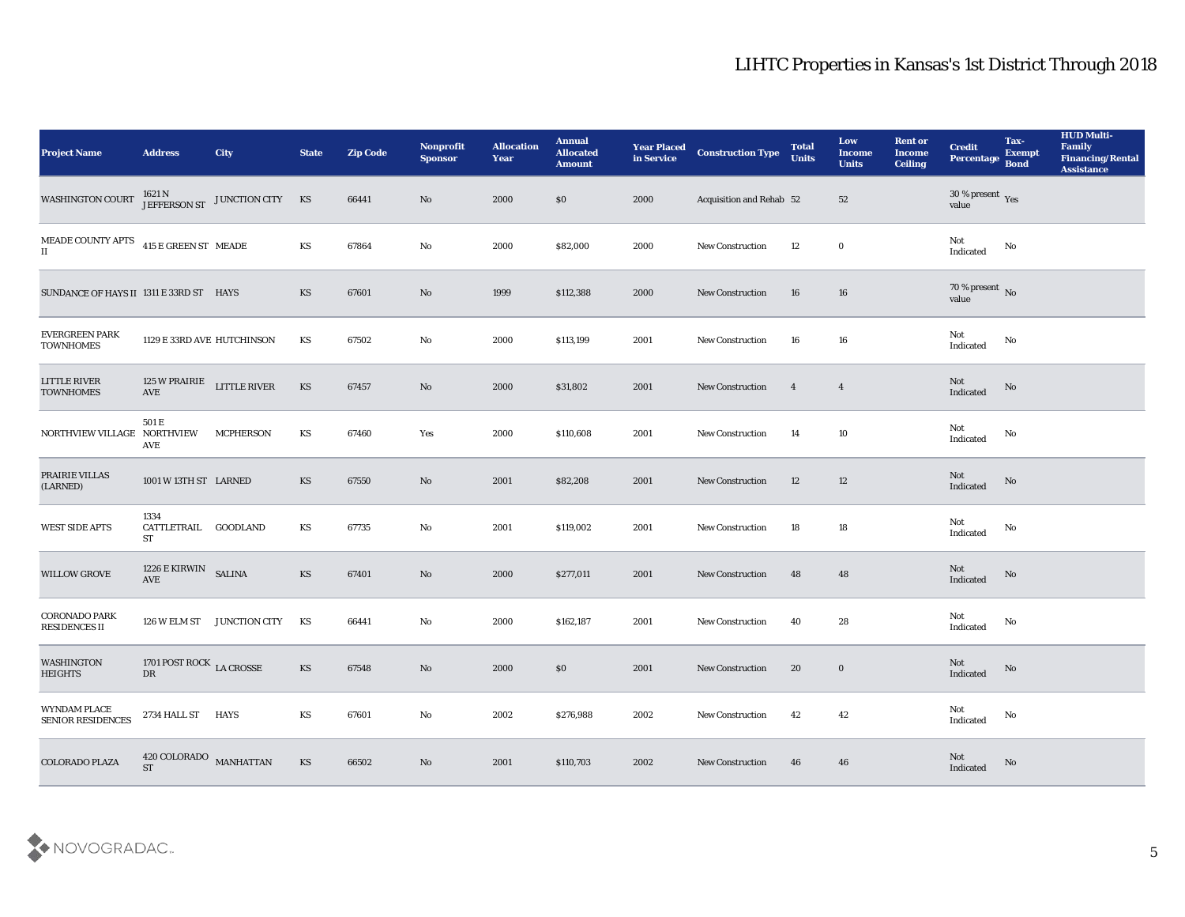| <b>Project Name</b>                                                      | <b>Address</b>                        | City                                       | <b>State</b>           | <b>Zip Code</b> | Nonprofit<br><b>Sponsor</b> | <b>Allocation</b><br>Year | <b>Annual</b><br><b>Allocated</b><br><b>Amount</b> | <b>Year Placed</b><br>in Service | <b>Construction Type</b> | <b>Total</b><br><b>Units</b> | Low<br><b>Income</b><br><b>Units</b> | <b>Rent or</b><br><b>Income</b><br><b>Ceiling</b> | <b>Credit</b><br>Percentage          | Tax-<br><b>Exempt</b><br><b>Bond</b> | <b>HUD Multi-</b><br>Family<br><b>Financing/Rental</b><br><b>Assistance</b> |
|--------------------------------------------------------------------------|---------------------------------------|--------------------------------------------|------------------------|-----------------|-----------------------------|---------------------------|----------------------------------------------------|----------------------------------|--------------------------|------------------------------|--------------------------------------|---------------------------------------------------|--------------------------------------|--------------------------------------|-----------------------------------------------------------------------------|
| <b>WASHINGTON COURT</b>                                                  |                                       | 1621 N<br>JEFFERSON ST<br>JUNCTION CITY KS |                        | 66441           | No                          | 2000                      | \$0                                                | 2000                             | Acquisition and Rehab 52 |                              | 52                                   |                                                   | $30\,\%$ present $\,$ Yes value      |                                      |                                                                             |
| MEADE COUNTY APTS $\,$ 415 E GREEN ST $\,$ MEADE<br>$\scriptstyle\rm II$ |                                       |                                            | <b>KS</b>              | 67864           | No                          | 2000                      | \$82,000                                           | 2000                             | <b>New Construction</b>  | 12                           | $\bf{0}$                             |                                                   | Not<br>Indicated                     | No                                   |                                                                             |
| SUNDANCE OF HAYS II 1311 E 33RD ST HAYS                                  |                                       |                                            | KS                     | 67601           | No                          | 1999                      | \$112,388                                          | 2000                             | <b>New Construction</b>  | 16                           | 16                                   |                                                   | 70 % present $\sqrt{\ }$ No<br>value |                                      |                                                                             |
| <b>EVERGREEN PARK</b><br><b>TOWNHOMES</b>                                | 1129 E 33RD AVE HUTCHINSON            |                                            | KS                     | 67502           | No                          | 2000                      | \$113,199                                          | 2001                             | New Construction         | 16                           | 16                                   |                                                   | Not<br>$\operatorname{Indicated}$    | No                                   |                                                                             |
| <b>LITTLE RIVER</b><br><b>TOWNHOMES</b>                                  | 125 W PRAIRIE<br>$\operatorname{AVE}$ | LITTLE RIVER                               | KS                     | 67457           | No                          | 2000                      | \$31,802                                           | 2001                             | <b>New Construction</b>  | $\overline{4}$               | $\overline{4}$                       |                                                   | Not<br>Indicated                     | No                                   |                                                                             |
| NORTHVIEW VILLAGE NORTHVIEW                                              | 501 E<br>AVE                          | <b>MCPHERSON</b>                           | KS                     | 67460           | Yes                         | 2000                      | \$110,608                                          | 2001                             | New Construction         | 14                           | 10                                   |                                                   | Not<br>Indicated                     | No                                   |                                                                             |
| PRAIRIE VILLAS<br>(LARNED)                                               | 1001 W 13TH ST LARNED                 |                                            | KS                     | 67550           | No                          | 2001                      | \$82,208                                           | 2001                             | <b>New Construction</b>  | 12                           | 12                                   |                                                   | Not<br>Indicated                     | No                                   |                                                                             |
| <b>WEST SIDE APTS</b>                                                    | 1334<br>CATTLETRAIL GOODLAND<br>ST    |                                            | KS                     | 67735           | No                          | 2001                      | \$119,002                                          | 2001                             | <b>New Construction</b>  | 18                           | 18                                   |                                                   | Not<br>Indicated                     | No                                   |                                                                             |
| <b>WILLOW GROVE</b>                                                      | 1226 E KIRWIN SALINA<br>AVE           |                                            | <b>KS</b>              | 67401           | No                          | 2000                      | \$277,011                                          | 2001                             | <b>New Construction</b>  | 48                           | 48                                   |                                                   | Not<br>Indicated                     | No                                   |                                                                             |
| <b>CORONADO PARK</b><br><b>RESIDENCES II</b>                             | 126 W ELM ST                          | JUNCTION CITY                              | KS                     | 66441           | $\rm\thinspace No$          | 2000                      | \$162,187                                          | 2001                             | New Construction         | 40                           | 28                                   |                                                   | Not<br>Indicated                     | No                                   |                                                                             |
| <b>WASHINGTON</b><br><b>HEIGHTS</b>                                      | 1701 POST ROCK LA CROSSE<br>DR        |                                            | <b>KS</b>              | 67548           | No                          | 2000                      | $\$0$                                              | 2001                             | <b>New Construction</b>  | 20                           | $\bf{0}$                             |                                                   | Not<br>Indicated                     | No                                   |                                                                             |
| WYNDAM PLACE<br>SENIOR RESIDENCES                                        | 2734 HALL ST HAYS                     |                                            | KS                     | 67601           | $\rm\, No$                  | 2002                      | \$276,988                                          | 2002                             | <b>New Construction</b>  | 42                           | $42\,$                               |                                                   | Not<br>Indicated                     | No                                   |                                                                             |
| <b>COLORADO PLAZA</b>                                                    | $420$ COLORADO MANHATTAN ${\rm ST}$   |                                            | $\mathbf{K}\mathbf{S}$ | 66502           | $\rm\, No$                  | 2001                      | \$110,703                                          | 2002                             | <b>New Construction</b>  | 46                           | 46                                   |                                                   | Not<br>Indicated                     | No                                   |                                                                             |

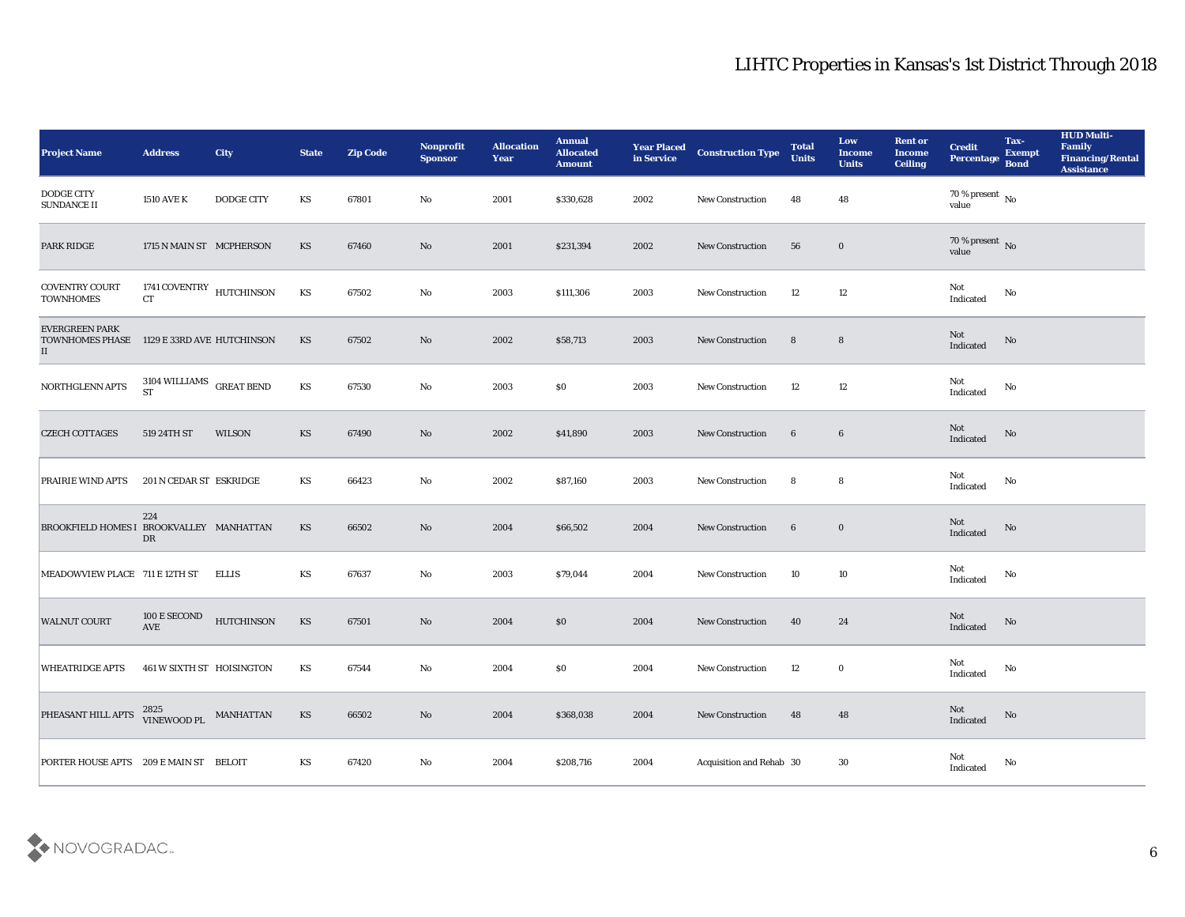| <b>Project Name</b>                                         | <b>Address</b>                                   | City              | <b>State</b>           | <b>Zip Code</b> | Nonprofit<br><b>Sponsor</b> | <b>Allocation</b><br>Year | <b>Annual</b><br><b>Allocated</b><br><b>Amount</b> | <b>Year Placed</b><br>in Service | <b>Construction Type</b> | <b>Total</b><br><b>Units</b> | Low<br><b>Income</b><br><b>Units</b> | <b>Rent or</b><br><b>Income</b><br><b>Ceiling</b> | <b>Credit</b><br><b>Percentage</b>         | Tax-<br><b>Exempt</b><br><b>Bond</b> | <b>HUD Multi-</b><br>Family<br><b>Financing/Rental</b><br><b>Assistance</b> |
|-------------------------------------------------------------|--------------------------------------------------|-------------------|------------------------|-----------------|-----------------------------|---------------------------|----------------------------------------------------|----------------------------------|--------------------------|------------------------------|--------------------------------------|---------------------------------------------------|--------------------------------------------|--------------------------------------|-----------------------------------------------------------------------------|
| <b>DODGE CITY</b><br><b>SUNDANCE II</b>                     | <b>1510 AVE K</b>                                | <b>DODGE CITY</b> | KS                     | 67801           | No                          | 2001                      | \$330,628                                          | 2002                             | <b>New Construction</b>  | 48                           | 48                                   |                                                   | 70 % present $\,$ No $\,$<br>value         |                                      |                                                                             |
| <b>PARK RIDGE</b>                                           | 1715 N MAIN ST MCPHERSON                         |                   | KS                     | 67460           | No                          | 2001                      | \$231,394                                          | 2002                             | <b>New Construction</b>  | 56                           | $\bf{0}$                             |                                                   | $70\,\%$ present $\,$ No value             |                                      |                                                                             |
| <b>COVENTRY COURT</b><br><b>TOWNHOMES</b>                   | 1741 COVENTRY $\,$ HUTCHINSON<br><b>CT</b>       |                   | KS                     | 67502           | No                          | 2003                      | \$111,306                                          | 2003                             | <b>New Construction</b>  | 12                           | 12                                   |                                                   | Not<br>Indicated                           | No                                   |                                                                             |
| <b>EVERGREEN PARK</b><br><b>TOWNHOMES PHASE</b><br>$\rm II$ | 1129 E 33RD AVE HUTCHINSON                       |                   | KS                     | 67502           | No                          | 2002                      | \$58,713                                           | 2003                             | <b>New Construction</b>  | 8                            | $8\phantom{1}$                       |                                                   | Not<br>Indicated                           | No                                   |                                                                             |
| NORTHGLENN APTS                                             | $3104$ WILLIAMS $\,$ GREAT BEND<br><b>ST</b>     |                   | KS                     | 67530           | No                          | 2003                      | \$0                                                | 2003                             | New Construction         | 12                           | 12                                   |                                                   | Not<br>Indicated                           | No                                   |                                                                             |
| <b>CZECH COTTAGES</b>                                       | 519 24TH ST                                      | WILSON            | KS                     | 67490           | No                          | 2002                      | \$41,890                                           | 2003                             | <b>New Construction</b>  | $6\phantom{.}6$              | $6\phantom{.}6$                      |                                                   | Not<br>Indicated                           | No                                   |                                                                             |
| <b>PRAIRIE WIND APTS</b>                                    | 201 N CEDAR ST ESKRIDGE                          |                   | KS                     | 66423           | $\mathbf{N}\mathbf{o}$      | 2002                      | \$87,160                                           | 2003                             | <b>New Construction</b>  | 8                            | 8                                    |                                                   | Not<br>Indicated                           | No                                   |                                                                             |
| BROOKFIELD HOMES I BROOKVALLEY MANHATTAN                    | 224<br>DR                                        |                   | <b>KS</b>              | 66502           | No                          | 2004                      | \$66,502                                           | 2004                             | <b>New Construction</b>  | $6\phantom{.}6$              | $\bf{0}$                             |                                                   | Not<br>Indicated                           | No                                   |                                                                             |
| MEADOWVIEW PLACE 711 E 12TH ST                              |                                                  | <b>ELLIS</b>      | KS                     | 67637           | No                          | 2003                      | \$79,044                                           | 2004                             | <b>New Construction</b>  | 10                           | 10                                   |                                                   | Not<br>Indicated                           | No                                   |                                                                             |
| <b>WALNUT COURT</b>                                         | $100\to \mathrm{SECOND}$<br>$\operatorname{AVE}$ | <b>HUTCHINSON</b> | KS                     | 67501           | No                          | 2004                      | \$0                                                | 2004                             | <b>New Construction</b>  | 40                           | 24                                   |                                                   | Not<br>Indicated                           | No                                   |                                                                             |
| <b>WHEATRIDGE APTS</b>                                      | 461 W SIXTH ST HOISINGTON                        |                   | KS                     | 67544           | No                          | 2004                      | $\$0$                                              | 2004                             | <b>New Construction</b>  | 12                           | $\bf{0}$                             |                                                   | Not<br>Indicated                           | No                                   |                                                                             |
| PHEASANT HILL APTS                                          | $2825$ VINEWOOD PL MANHATTAN                     |                   | $\mathbf{K}\mathbf{S}$ | 66502           | $\rm\thinspace No$          | 2004                      | \$368,038                                          | 2004                             | New Construction         | 48                           | 48                                   |                                                   | $\operatorname{\mathsf{Not}}$<br>Indicated | ${\bf No}$                           |                                                                             |
| PORTER HOUSE APTS 209 E MAIN ST BELOIT                      |                                                  |                   | KS                     | 67420           | $\mathbf {No}$              | 2004                      | \$208,716                                          | 2004                             | Acquisition and Rehab 30 |                              | 30                                   |                                                   | Not<br>Indicated                           | No                                   |                                                                             |

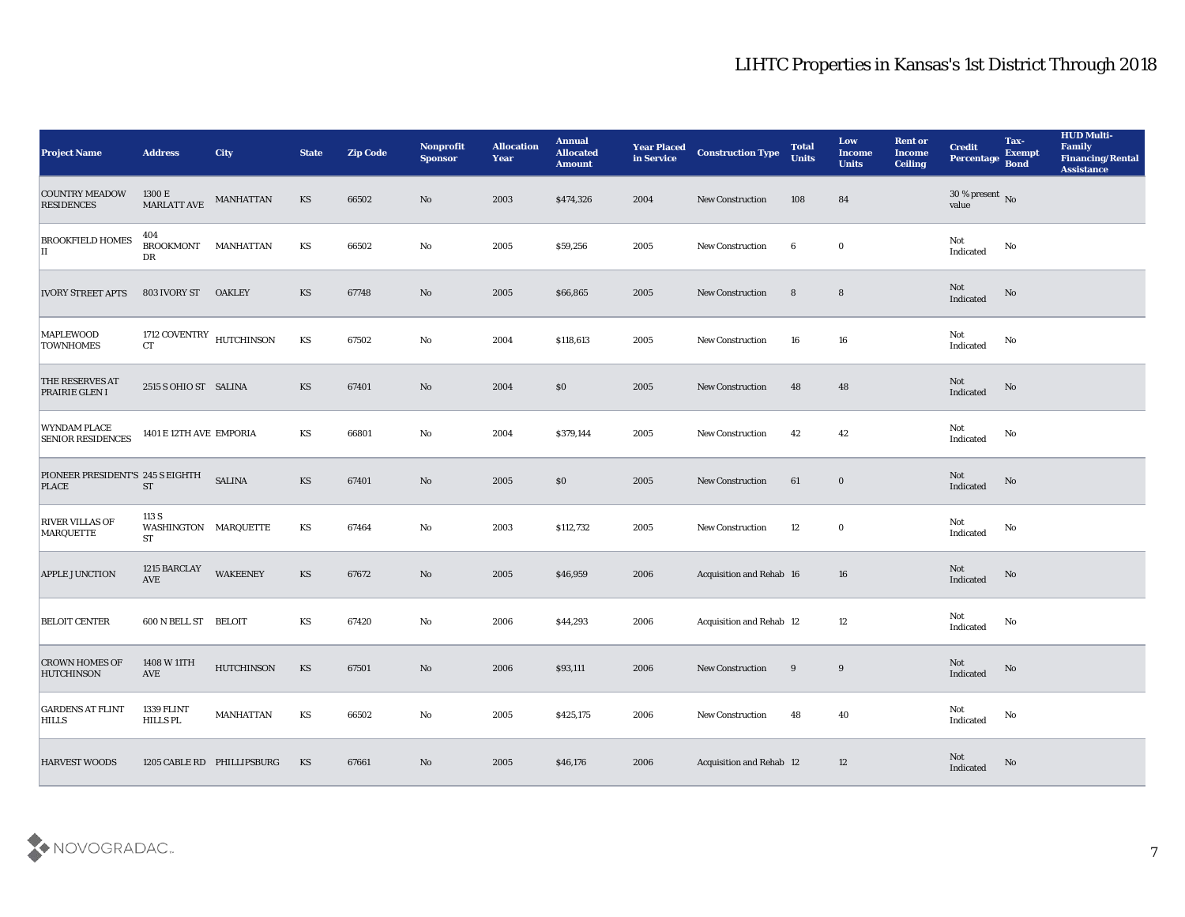| <b>Project Name</b>                              | <b>Address</b>                                | <b>City</b>                | <b>State</b>           | <b>Zip Code</b> | Nonprofit<br><b>Sponsor</b> | <b>Allocation</b><br><b>Year</b> | <b>Annual</b><br><b>Allocated</b><br><b>Amount</b> | <b>Year Placed</b><br>in Service | <b>Construction Type</b> | <b>Total</b><br><b>Units</b> | Low<br><b>Income</b><br><b>Units</b> | <b>Rent or</b><br><b>Income</b><br><b>Ceiling</b> | <b>Credit</b><br>Percentage       | Tax-<br><b>Exempt</b><br><b>Bond</b> | <b>HUD Multi-</b><br>Family<br><b>Financing/Rental</b><br><b>Assistance</b> |
|--------------------------------------------------|-----------------------------------------------|----------------------------|------------------------|-----------------|-----------------------------|----------------------------------|----------------------------------------------------|----------------------------------|--------------------------|------------------------------|--------------------------------------|---------------------------------------------------|-----------------------------------|--------------------------------------|-----------------------------------------------------------------------------|
| <b>COUNTRY MEADOW</b><br><b>RESIDENCES</b>       | 1300 E<br><b>MARLATT AVE</b>                  | <b>MANHATTAN</b>           | KS                     | 66502           | No                          | 2003                             | \$474,326                                          | 2004                             | <b>New Construction</b>  | 108                          | 84                                   |                                                   | $30\,\%$ present $\,$ No value    |                                      |                                                                             |
| <b>BROOKFIELD HOMES</b><br>$\mathbf{I}$          | 404<br><b>BROOKMONT</b><br>DR                 | MANHATTAN                  | KS                     | 66502           | No                          | 2005                             | \$59,256                                           | 2005                             | <b>New Construction</b>  | 6                            | $\bf{0}$                             |                                                   | Not<br>Indicated                  | No                                   |                                                                             |
| <b>IVORY STREET APTS</b>                         | 803 IVORY ST                                  | <b>OAKLEY</b>              | KS                     | 67748           | No                          | 2005                             | \$66,865                                           | 2005                             | New Construction         | $8\phantom{1}$               | $8\phantom{1}$                       |                                                   | Not<br>Indicated                  | No                                   |                                                                             |
| <b>MAPLEWOOD</b><br><b>TOWNHOMES</b>             | 1712 COVENTRY $$\rm HUTCHINSON$$<br><b>CT</b> |                            | KS                     | 67502           | $\mathbf{No}$               | 2004                             | \$118,613                                          | 2005                             | <b>New Construction</b>  | 16                           | 16                                   |                                                   | Not<br>$\operatorname{Indicated}$ | No                                   |                                                                             |
| THE RESERVES AT<br>PRAIRIE GLEN I                | 2515 S OHIO ST SALINA                         |                            | KS                     | 67401           | $\mathbf{N}\mathbf{o}$      | 2004                             | \$0                                                | 2005                             | <b>New Construction</b>  | 48                           | 48                                   |                                                   | Not<br>Indicated                  | No                                   |                                                                             |
| WYNDAM PLACE<br><b>SENIOR RESIDENCES</b>         | 1401 E 12TH AVE EMPORIA                       |                            | KS                     | 66801           | No                          | 2004                             | \$379,144                                          | 2005                             | <b>New Construction</b>  | 42                           | 42                                   |                                                   | Not<br>Indicated                  | No                                   |                                                                             |
| PIONEER PRESIDENT'S 245 S EIGHTH<br><b>PLACE</b> | <b>ST</b>                                     | <b>SALINA</b>              | KS                     | 67401           | No                          | 2005                             | \$0                                                | 2005                             | <b>New Construction</b>  | 61                           | $\bf{0}$                             |                                                   | Not<br>Indicated                  | No                                   |                                                                             |
| <b>RIVER VILLAS OF</b><br>MARQUETTE              | 113 S<br>WASHINGTON MARQUETTE<br><b>ST</b>    |                            | KS                     | 67464           | $\mathbf{No}$               | 2003                             | \$112,732                                          | 2005                             | <b>New Construction</b>  | 12                           | $\bf{0}$                             |                                                   | Not<br>Indicated                  | No                                   |                                                                             |
| APPLE JUNCTION                                   | 1215 BARCLAY<br>$\operatorname{AVE}$          | <b>WAKEENEY</b>            | KS                     | 67672           | $\mathbf{N}\mathbf{o}$      | 2005                             | \$46,959                                           | 2006                             | Acquisition and Rehab 16 |                              | 16                                   |                                                   | Not<br>Indicated                  | No                                   |                                                                             |
| <b>BELOIT CENTER</b>                             | 600 N BELL ST                                 | <b>BELOIT</b>              | KS                     | 67420           | No                          | 2006                             | \$44,293                                           | 2006                             | Acquisition and Rehab 12 |                              | 12                                   |                                                   | Not<br>Indicated                  | No                                   |                                                                             |
| <b>CROWN HOMES OF</b><br><b>HUTCHINSON</b>       | 1408 W 11TH<br>AVE                            | <b>HUTCHINSON</b>          | KS                     | 67501           | No                          | 2006                             | \$93,111                                           | 2006                             | <b>New Construction</b>  | 9                            | 9                                    |                                                   | Not<br>Indicated                  | No                                   |                                                                             |
| <b>GARDENS AT FLINT</b><br><b>HILLS</b>          | 1339 FLINT<br>HILLS PL                        | <b>MANHATTAN</b>           | $\mathbf{K}\mathbf{S}$ | 66502           | ${\bf No}$                  | 2005                             | \$425,175                                          | 2006                             | New Construction         | 48                           | 40                                   |                                                   | Not<br>Indicated                  | $\mathbf {No}$                       |                                                                             |
| <b>HARVEST WOODS</b>                             |                                               | 1205 CABLE RD PHILLIPSBURG | KS                     | 67661           | $\rm\thinspace No$          | 2005                             | \$46,176                                           | 2006                             | Acquisition and Rehab 12 |                              | 12                                   |                                                   | Not<br>Indicated                  | No                                   |                                                                             |

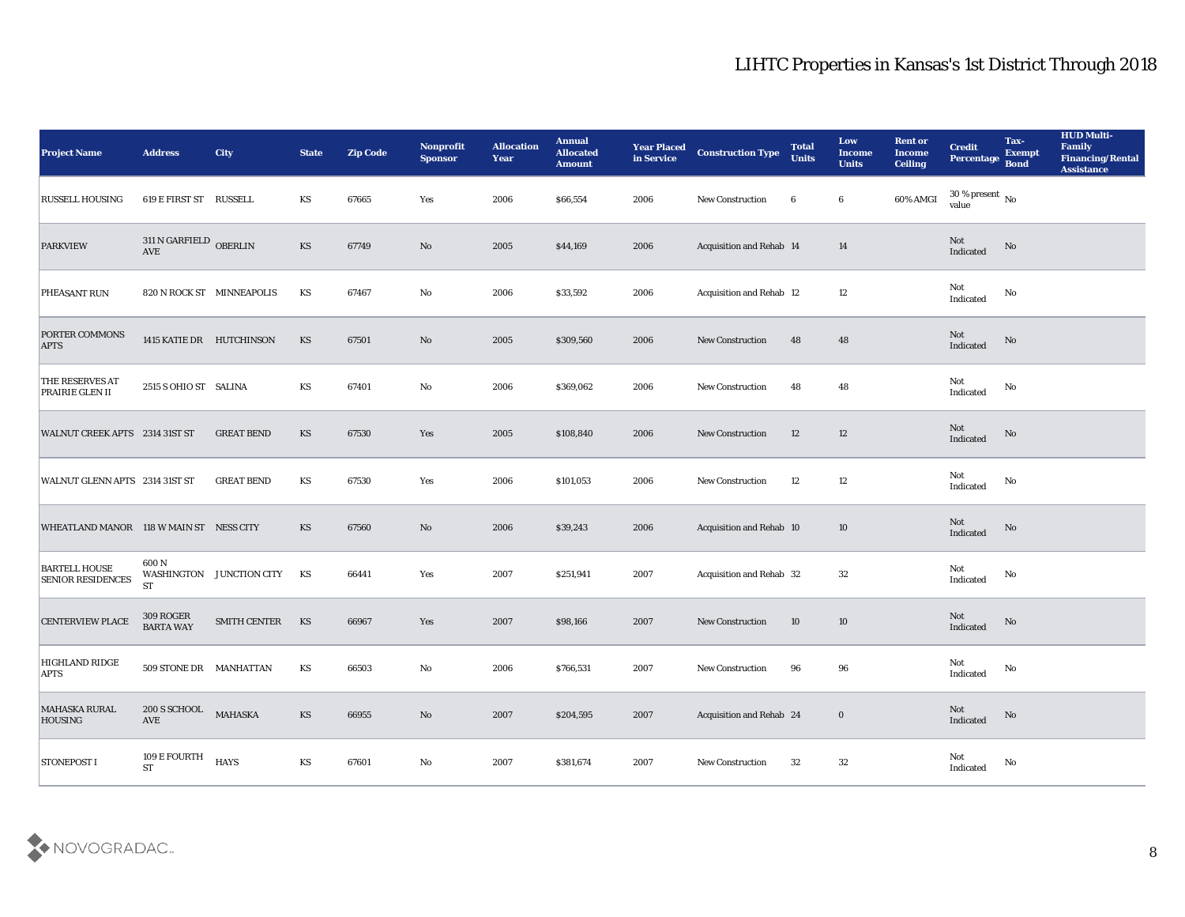| <b>Project Name</b>                              | <b>Address</b>                              | <b>City</b>               | <b>State</b>           | <b>Zip Code</b> | Nonprofit<br><b>Sponsor</b> | <b>Allocation</b><br><b>Year</b> | <b>Annual</b><br><b>Allocated</b><br><b>Amount</b> | <b>Year Placed</b><br>in Service | <b>Construction Type</b>        | <b>Total</b><br><b>Units</b> | Low<br><b>Income</b><br><b>Units</b> | <b>Rent or</b><br><b>Income</b><br><b>Ceiling</b> | <b>Credit</b><br>Percentage            | Tax-<br><b>Exempt</b><br><b>Bond</b> | <b>HUD Multi-</b><br>Family<br>Financing/Rental<br><b>Assistance</b> |
|--------------------------------------------------|---------------------------------------------|---------------------------|------------------------|-----------------|-----------------------------|----------------------------------|----------------------------------------------------|----------------------------------|---------------------------------|------------------------------|--------------------------------------|---------------------------------------------------|----------------------------------------|--------------------------------------|----------------------------------------------------------------------|
| <b>RUSSELL HOUSING</b>                           | 619 E FIRST ST RUSSELL                      |                           | KS                     | 67665           | Yes                         | 2006                             | \$66,554                                           | 2006                             | <b>New Construction</b>         | 6                            | $6\phantom{.0}$                      | 60% AMGI                                          | $30\,\%$ present $\,$ No $\,$<br>value |                                      |                                                                      |
| <b>PARKVIEW</b>                                  | $311$ N GARFIELD $\,$ OBERLIN<br><b>AVE</b> |                           | KS                     | 67749           | No                          | 2005                             | \$44,169                                           | 2006                             | Acquisition and Rehab 14        |                              | 14                                   |                                                   | Not<br>Indicated                       | No                                   |                                                                      |
| PHEASANT RUN                                     |                                             | 820 N ROCK ST MINNEAPOLIS | KS                     | 67467           | No                          | 2006                             | \$33,592                                           | 2006                             | <b>Acquisition and Rehab 12</b> |                              | 12                                   |                                                   | Not<br>Indicated                       | No                                   |                                                                      |
| PORTER COMMONS<br><b>APTS</b>                    | 1415 KATIE DR HUTCHINSON                    |                           | KS                     | 67501           | No                          | 2005                             | \$309,560                                          | 2006                             | <b>New Construction</b>         | 48                           | 48                                   |                                                   | Not<br>Indicated                       | No                                   |                                                                      |
| THE RESERVES AT<br><b>PRAIRIE GLEN II</b>        | 2515 S OHIO ST SALINA                       |                           | KS                     | 67401           | No                          | 2006                             | \$369,062                                          | 2006                             | <b>New Construction</b>         | 48                           | 48                                   |                                                   | Not<br>Indicated                       | No                                   |                                                                      |
| WALNUT CREEK APTS 2314 31ST ST                   |                                             | <b>GREAT BEND</b>         | KS                     | 67530           | Yes                         | 2005                             | \$108,840                                          | 2006                             | <b>New Construction</b>         | 12                           | 12                                   |                                                   | Not<br>Indicated                       | No                                   |                                                                      |
| WALNUT GLENN APTS 2314 31ST ST                   |                                             | <b>GREAT BEND</b>         | KS                     | 67530           | Yes                         | 2006                             | \$101,053                                          | 2006                             | <b>New Construction</b>         | 12                           | 12                                   |                                                   | Not<br>Indicated                       | No                                   |                                                                      |
| WHEATLAND MANOR 118 W MAIN ST NESS CITY          |                                             |                           | KS                     | 67560           | No                          | 2006                             | \$39,243                                           | 2006                             | <b>Acquisition and Rehab 10</b> |                              | 10                                   |                                                   | Not<br>Indicated                       | No                                   |                                                                      |
| <b>BARTELL HOUSE</b><br><b>SENIOR RESIDENCES</b> | 600N<br><b>ST</b>                           | WASHINGTON JUNCTION CITY  | KS                     | 66441           | Yes                         | 2007                             | \$251,941                                          | 2007                             | Acquisition and Rehab 32        |                              | 32                                   |                                                   | Not<br>Indicated                       | No                                   |                                                                      |
| <b>CENTERVIEW PLACE</b>                          | 309 ROGER<br><b>BARTA WAY</b>               | <b>SMITH CENTER</b>       | KS                     | 66967           | Yes                         | 2007                             | \$98,166                                           | 2007                             | <b>New Construction</b>         | 10                           | 10                                   |                                                   | Not<br>Indicated                       | No                                   |                                                                      |
| <b>HIGHLAND RIDGE</b><br><b>APTS</b>             | 509 STONE DR MANHATTAN                      |                           | KS                     | 66503           | No                          | 2006                             | \$766,531                                          | 2007                             | <b>New Construction</b>         | 96                           | 96                                   |                                                   | Not<br>Indicated                       | No                                   |                                                                      |
| <b>MAHASKA RURAL</b><br><b>HOUSING</b>           | 200 S SCHOOL MAHASKA<br>AVE                 |                           | $\mathbf{K}\mathbf{S}$ | 66955           | $\mathbf {No}$              | 2007                             | \$204,595                                          | 2007                             | Acquisition and Rehab 24        |                              | $\mathbf 0$                          |                                                   | Not<br>Indicated                       | $\rm \bf No$                         |                                                                      |
| STONEPOST I                                      | 109 $\rm E$ FOURTH $\rm ST$                 | <b>HAYS</b>               | $\mathbf{K}\mathbf{S}$ | 67601           | $\mathbf {No}$              | 2007                             | \$381,674                                          | 2007                             | New Construction                | 32                           | $32\,$                               |                                                   | ${\rm Not}$ Indicated                  | $\mathbf {No}$                       |                                                                      |

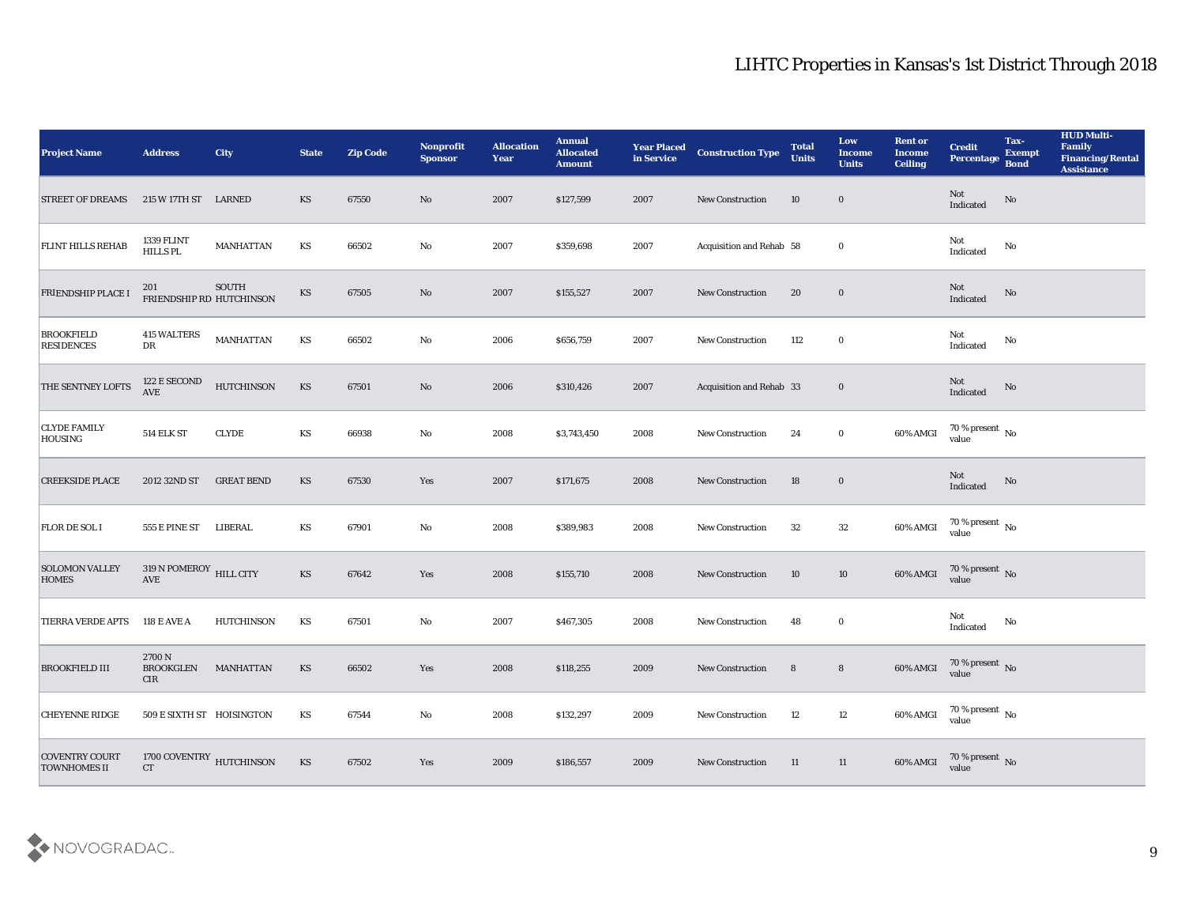| <b>Project Name</b>                          | <b>Address</b>                                         | <b>City</b>                   | <b>State</b>           | <b>Zip Code</b> | Nonprofit<br><b>Sponsor</b> | <b>Allocation</b><br>Year | <b>Annual</b><br><b>Allocated</b><br><b>Amount</b> | <b>Year Placed</b><br>in Service | <b>Construction Type</b> | <b>Total</b><br><b>Units</b> | Low<br><b>Income</b><br><b>Units</b> | <b>Rent or</b><br><b>Income</b><br><b>Ceiling</b> | <b>Credit</b><br>Percentage        | Tax-<br><b>Exempt</b><br><b>Bond</b> | <b>HUD Multi-</b><br>Family<br><b>Financing/Rental</b><br><b>Assistance</b> |
|----------------------------------------------|--------------------------------------------------------|-------------------------------|------------------------|-----------------|-----------------------------|---------------------------|----------------------------------------------------|----------------------------------|--------------------------|------------------------------|--------------------------------------|---------------------------------------------------|------------------------------------|--------------------------------------|-----------------------------------------------------------------------------|
| <b>STREET OF DREAMS</b>                      | 215 W 17TH ST LARNED                                   |                               | KS                     | 67550           | No                          | 2007                      | \$127,599                                          | 2007                             | <b>New Construction</b>  | 10                           | $\bf{0}$                             |                                                   | Not<br>Indicated                   | No                                   |                                                                             |
| <b>FLINT HILLS REHAB</b>                     | 1339 FLINT<br>HILLS PL                                 | <b>MANHATTAN</b>              | KS                     | 66502           | No                          | 2007                      | \$359,698                                          | 2007                             | Acquisition and Rehab 58 |                              | $\bf{0}$                             |                                                   | Not<br>Indicated                   | No                                   |                                                                             |
| <b>FRIENDSHIP PLACE I</b>                    | 201<br>FRIENDSHIP RD HUTCHINSON                        | <b>SOUTH</b>                  | KS                     | 67505           | $\rm No$                    | 2007                      | \$155,527                                          | 2007                             | <b>New Construction</b>  | 20                           | $\bf{0}$                             |                                                   | Not<br>Indicated                   | No                                   |                                                                             |
| <b>BROOKFIELD</b><br><b>RESIDENCES</b>       | <b>415 WALTERS</b><br>DR                               | <b>MANHATTAN</b>              | KS                     | 66502           | $\rm\thinspace No$          | 2006                      | \$656,759                                          | 2007                             | <b>New Construction</b>  | 112                          | $\bf{0}$                             |                                                   | Not<br>Indicated                   | No                                   |                                                                             |
| THE SENTNEY LOFTS                            | 122 E SECOND<br><b>AVE</b>                             | <b>HUTCHINSON</b>             | KS                     | 67501           | No                          | 2006                      | \$310,426                                          | 2007                             | Acquisition and Rehab 33 |                              | $\bf{0}$                             |                                                   | Not<br>Indicated                   | No                                   |                                                                             |
| <b>CLYDE FAMILY</b><br><b>HOUSING</b>        | <b>514 ELK ST</b>                                      | <b>CLYDE</b>                  | KS                     | 66938           | No                          | 2008                      | \$3,743,450                                        | 2008                             | New Construction         | 24                           | $\bf{0}$                             | 60% AMGI                                          | $70\,\%$ present $\,$ No value     |                                      |                                                                             |
| <b>CREEKSIDE PLACE</b>                       | 2012 32ND ST                                           | <b>GREAT BEND</b>             | KS                     | 67530           | Yes                         | 2007                      | \$171,675                                          | 2008                             | <b>New Construction</b>  | 18                           | $\bf{0}$                             |                                                   | Not<br>Indicated                   | No                                   |                                                                             |
| <b>FLOR DE SOL I</b>                         | <b>555 E PINE ST</b>                                   | LIBERAL                       | KS                     | 67901           | No                          | 2008                      | \$389,983                                          | 2008                             | New Construction         | 32                           | $32\,$                               | $60\%$ AMGI                                       | 70 % present $\,$ No $\,$<br>value |                                      |                                                                             |
| <b>SOLOMON VALLEY</b><br><b>HOMES</b>        | $319$ N POMEROY $\,$ HILL CITY<br>$\operatorname{AVE}$ |                               | KS                     | 67642           | Yes                         | 2008                      | \$155,710                                          | 2008                             | <b>New Construction</b>  | 10                           | 10                                   | 60% AMGI                                          | $70$ % present $_{\rm No}$         |                                      |                                                                             |
| <b>TIERRA VERDE APTS</b>                     | <b>118 E AVE A</b>                                     | <b>HUTCHINSON</b>             | KS                     | 67501           | $\mathbf{No}$               | 2007                      | \$467,305                                          | 2008                             | <b>New Construction</b>  | 48                           | $\bf{0}$                             |                                                   | Not<br>$\operatorname{Indicated}$  | No                                   |                                                                             |
| <b>BROOKFIELD III</b>                        | 2700 N<br><b>BROOKGLEN</b><br>CIR                      | MANHATTAN                     | KS                     | 66502           | Yes                         | 2008                      | \$118,255                                          | 2009                             | <b>New Construction</b>  | 8                            | $8\phantom{1}$                       | 60% AMGI                                          | 70 % present No<br>value           |                                      |                                                                             |
| <b>CHEYENNE RIDGE</b>                        | 509 E SIXTH ST HOISINGTON                              |                               | KS                     | 67544           | $\mathbf {No}$              | 2008                      | \$132,297                                          | 2009                             | New Construction         | 12                           | 12                                   | 60% AMGI                                          | $70\,\%$ present $\,$ No value     |                                      |                                                                             |
| <b>COVENTRY COURT</b><br><b>TOWNHOMES II</b> | CT                                                     | 1700 COVENTRY $\,$ HUTCHINSON | $\mathbf{K}\mathbf{S}$ | 67502           | Yes                         | 2009                      | \$186,557                                          | 2009                             | New Construction         | 11                           | 11                                   | 60% AMGI                                          | $70\,\%$ present $\,$ No value     |                                      |                                                                             |

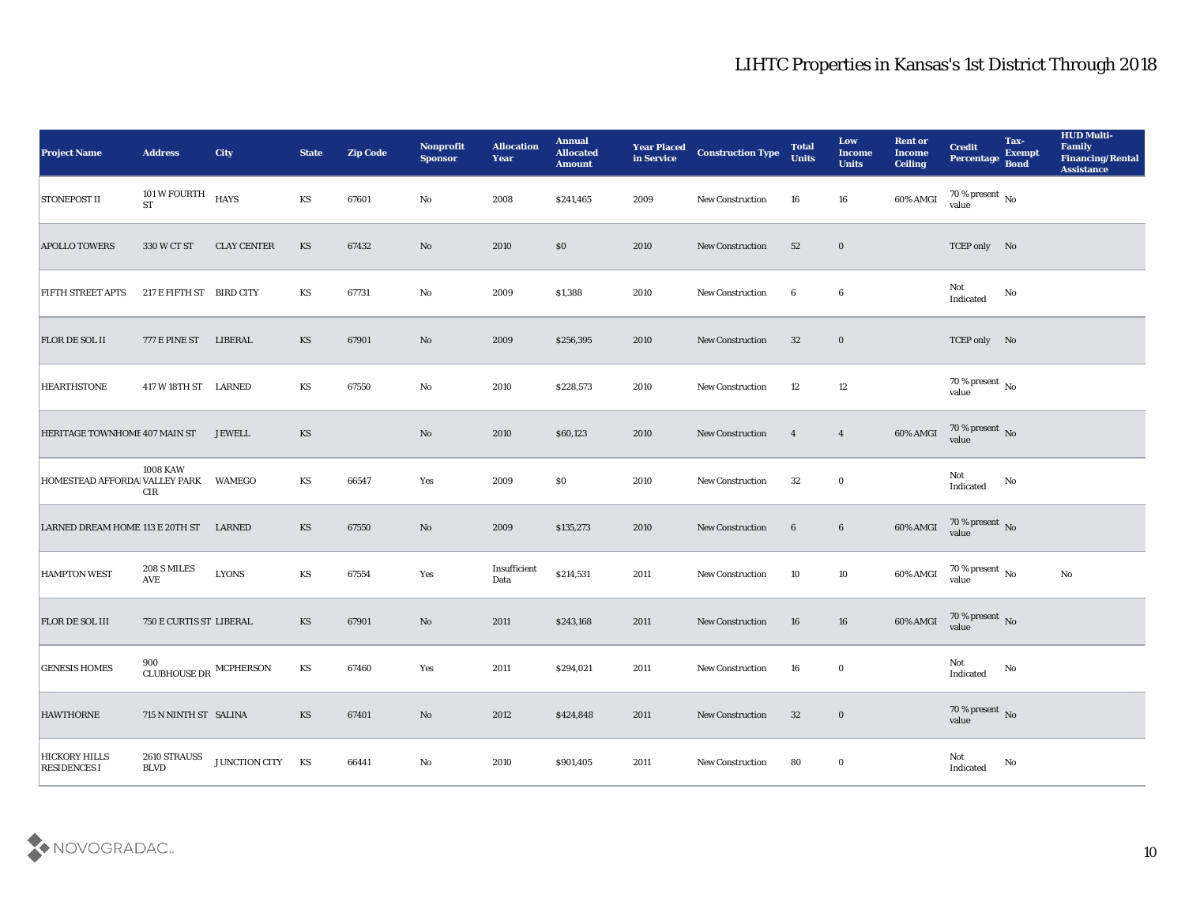| <b>Project Name</b>                         | <b>Address</b>                   | <b>City</b>        | <b>State</b> | <b>Zip Code</b> | Nonprofit<br><b>Sponsor</b> | <b>Allocation</b><br><b>Year</b> | <b>Annual</b><br><b>Allocated</b><br><b>Amount</b> | <b>Year Placed</b><br>in Service | <b>Construction Type</b> | <b>Total</b><br><b>Units</b> | Low<br><b>Income</b><br><b>Units</b> | <b>Rent or</b><br><b>Income</b><br><b>Ceiling</b> | <b>Credit</b><br>Percentage          | Tax-<br><b>Exempt</b><br><b>Bond</b> | <b>HUD Multi-</b><br>Family<br><b>Financing/Rental</b><br><b>Assistance</b> |
|---------------------------------------------|----------------------------------|--------------------|--------------|-----------------|-----------------------------|----------------------------------|----------------------------------------------------|----------------------------------|--------------------------|------------------------------|--------------------------------------|---------------------------------------------------|--------------------------------------|--------------------------------------|-----------------------------------------------------------------------------|
| <b>STONEPOST II</b>                         | 101 W FOURTH<br><b>ST</b>        | HAYS               | KS           | 67601           | No                          | 2008                             | \$241,465                                          | 2009                             | <b>New Construction</b>  | 16                           | 16                                   | 60% AMGI                                          | 70 % present $\,$ No $\,$<br>value   |                                      |                                                                             |
| <b>APOLLO TOWERS</b>                        | 330 W CT ST                      | <b>CLAY CENTER</b> | <b>KS</b>    | 67432           | No                          | 2010                             | \$0                                                | 2010                             | <b>New Construction</b>  | 52                           | $\bf{0}$                             |                                                   | TCEP only No                         |                                      |                                                                             |
| <b>FIFTH STREET APTS</b>                    | 217 E FIFTH ST BIRD CITY         |                    | KS           | 67731           | No                          | 2009                             | \$1,388                                            | 2010                             | New Construction         | 6                            | 6                                    |                                                   | Not<br>Indicated                     | No                                   |                                                                             |
| <b>FLOR DE SOL II</b>                       | 777 E PINE ST                    | LIBERAL            | KS           | 67901           | No                          | 2009                             | \$256,395                                          | 2010                             | <b>New Construction</b>  | 32                           | $\bf{0}$                             |                                                   | TCEP only No                         |                                      |                                                                             |
| <b>HEARTHSTONE</b>                          | 417 W 18TH ST LARNED             |                    | KS           | 67550           | No                          | 2010                             | \$228,573                                          | 2010                             | <b>New Construction</b>  | 12                           | 12                                   |                                                   | $70\,\%$ present $\,$ No value       |                                      |                                                                             |
| HERITAGE TOWNHOME 407 MAIN ST               |                                  | <b>JEWELL</b>      | <b>KS</b>    |                 | No                          | 2010                             | \$60,123                                           | 2010                             | <b>New Construction</b>  | $\overline{4}$               | $\overline{4}$                       | 60% AMGI                                          | $70\,\%$ present $\,$ No value       |                                      |                                                                             |
| HOMESTEAD AFFORDA VALLEY PARK               | <b>1008 KAW</b><br>CIR           | WAMEGO             | KS           | 66547           | Yes                         | 2009                             | $\$0$                                              | 2010                             | New Construction         | 32                           | $\bf{0}$                             |                                                   | Not<br>Indicated                     | No                                   |                                                                             |
| LARNED DREAM HOME 113 E 20TH ST             |                                  | LARNED             | KS           | 67550           | No                          | 2009                             | \$135,273                                          | 2010                             | <b>New Construction</b>  | 6                            | $6\phantom{.0}$                      | 60% AMGI                                          | 70 % present $\sqrt{\ }$ No<br>value |                                      |                                                                             |
| <b>HAMPTON WEST</b>                         | 208 S MILES<br><b>AVE</b>        | <b>LYONS</b>       | KS           | 67554           | Yes                         | Insufficient<br>Data             | \$214,531                                          | 2011                             | New Construction         | 10                           | 10                                   | 60% AMGI                                          | $70\,\%$ present $\,$ No value       |                                      | No                                                                          |
| <b>FLOR DE SOL III</b>                      | <b>750 E CURTIS ST LIBERAL</b>   |                    | KS           | 67901           | No                          | 2011                             | \$243,168                                          | 2011                             | <b>New Construction</b>  | 16                           | 16                                   | 60% AMGI                                          | $70\,\%$ present $\,$ No value       |                                      |                                                                             |
| <b>GENESIS HOMES</b>                        | CLUBHOUSE DR $\,$ MCPHERSON $\,$ |                    | KS           | 67460           | Yes                         | 2011                             | \$294,021                                          | 2011                             | New Construction         | 16                           | $\bf{0}$                             |                                                   | Not<br>Indicated                     | No                                   |                                                                             |
| <b>HAWTHORNE</b>                            | 715 N NINTH ST SALINA            |                    | KS           | 67401           | $\mathbf {No}$              | 2012                             | \$424,848                                          | 2011                             | New Construction         | 32                           | $\bf{0}$                             |                                                   | $70\,\%$ present $\,$ No value       |                                      |                                                                             |
| <b>HICKORY HILLS</b><br><b>RESIDENCES I</b> | 2610 STRAUSS<br><b>BLVD</b>      | JUNCTION CITY KS   |              | 66441           | $\mathbf {No}$              | 2010                             | \$901,405                                          | 2011                             | New Construction         | 80                           | $\bf{0}$                             |                                                   | Not<br>Indicated                     | $\rm No$                             |                                                                             |

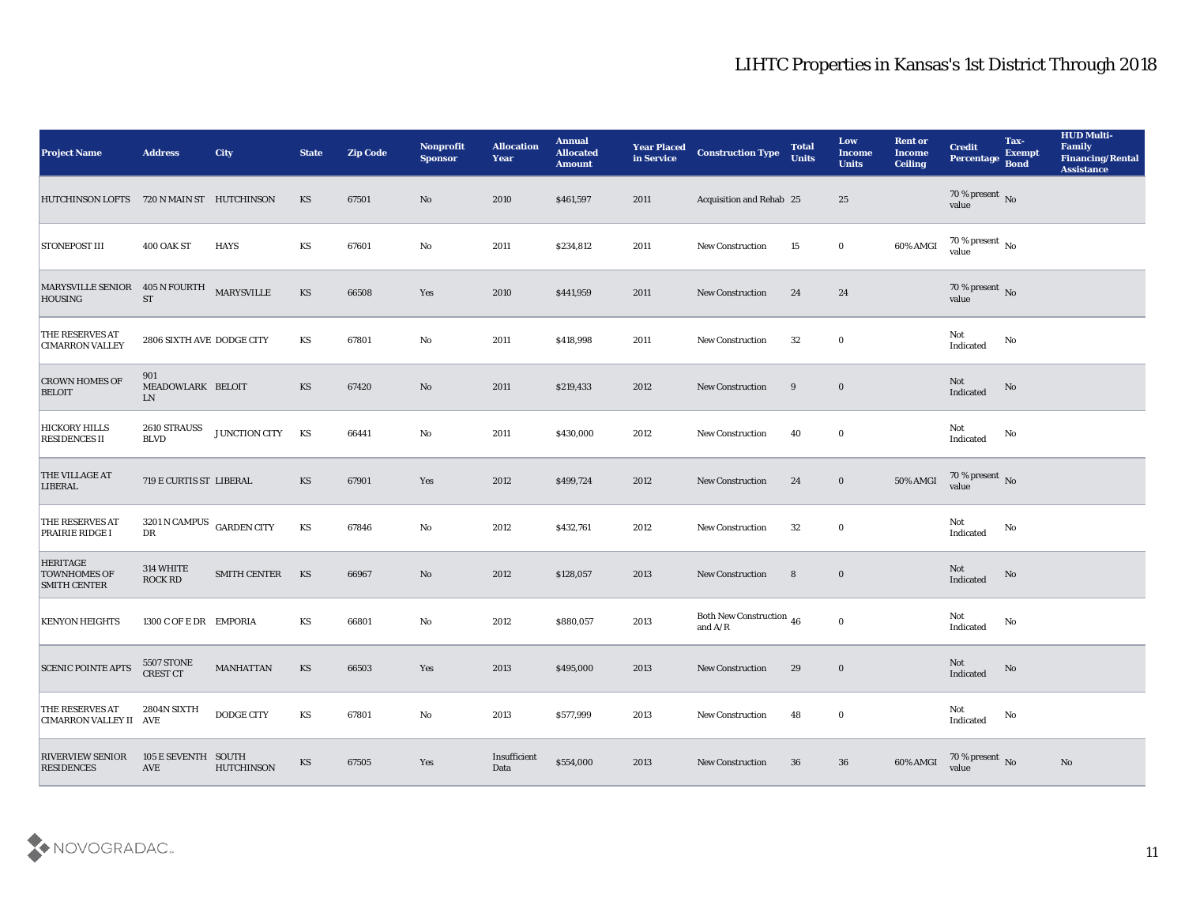| <b>Project Name</b>                                           | <b>Address</b>                              | <b>City</b>         | <b>State</b> | <b>Zip Code</b> | <b>Nonprofit</b><br><b>Sponsor</b> | <b>Allocation</b><br><b>Year</b> | <b>Annual</b><br><b>Allocated</b><br><b>Amount</b> | <b>Year Placed</b><br>in Service | <b>Construction Type</b>                                                          | <b>Total</b><br><b>Units</b> | Low<br><b>Income</b><br><b>Units</b> | <b>Rent or</b><br><b>Income</b><br><b>Ceiling</b> | <b>Credit</b><br><b>Percentage</b> | Tax-<br><b>Exempt</b><br><b>Bond</b> | <b>HUD Multi-</b><br>Family<br><b>Financing/Rental</b><br><b>Assistance</b> |
|---------------------------------------------------------------|---------------------------------------------|---------------------|--------------|-----------------|------------------------------------|----------------------------------|----------------------------------------------------|----------------------------------|-----------------------------------------------------------------------------------|------------------------------|--------------------------------------|---------------------------------------------------|------------------------------------|--------------------------------------|-----------------------------------------------------------------------------|
| HUTCHINSON LOFTS 720 N MAIN ST HUTCHINSON                     |                                             |                     | <b>KS</b>    | 67501           | No                                 | 2010                             | \$461,597                                          | 2011                             | Acquisition and Rehab 25                                                          |                              | 25                                   |                                                   | 70 % present No<br>value           |                                      |                                                                             |
| <b>STONEPOST III</b>                                          | 400 OAK ST                                  | <b>HAYS</b>         | KS           | 67601           | No                                 | 2011                             | \$234,812                                          | 2011                             | <b>New Construction</b>                                                           | 15                           | $\bf{0}$                             | 60% AMGI                                          | $70\,\%$ present $\,$ No value     |                                      |                                                                             |
| MARYSVILLE SENIOR 405 N FOURTH<br><b>HOUSING</b>              | <b>ST</b>                                   | MARYSVILLE          | KS           | 66508           | Yes                                | 2010                             | \$441,959                                          | 2011                             | <b>New Construction</b>                                                           | 24                           | 24                                   |                                                   | 70 % present No<br>value           |                                      |                                                                             |
| THE RESERVES AT<br><b>CIMARRON VALLEY</b>                     | 2806 SIXTH AVE DODGE CITY                   |                     | KS           | 67801           | No                                 | 2011                             | \$418,998                                          | 2011                             | New Construction                                                                  | 32                           | $\bf{0}$                             |                                                   | Not<br>Indicated                   | No                                   |                                                                             |
| <b>CROWN HOMES OF</b><br><b>BELOIT</b>                        | 901<br>MEADOWLARK BELOIT<br>LN              |                     | <b>KS</b>    | 67420           | No                                 | 2011                             | \$219,433                                          | 2012                             | <b>New Construction</b>                                                           | 9                            | $\bf{0}$                             |                                                   | Not<br>Indicated                   | No                                   |                                                                             |
| <b>HICKORY HILLS</b><br><b>RESIDENCES II</b>                  | <b>2610 STRAUSS</b><br><b>BLVD</b>          | JUNCTION CITY       | KS           | 66441           | No                                 | 2011                             | \$430,000                                          | 2012                             | <b>New Construction</b>                                                           | 40                           | $\bf{0}$                             |                                                   | Not<br>Indicated                   | No                                   |                                                                             |
| <b>THE VILLAGE AT</b><br><b>LIBERAL</b>                       | 719 E CURTIS ST LIBERAL                     |                     | KS           | 67901           | Yes                                | 2012                             | \$499,724                                          | 2012                             | <b>New Construction</b>                                                           | 24                           | $\bf{0}$                             | 50% AMGI                                          | $70\,\%$ present $\,$ No value     |                                      |                                                                             |
| <b>THE RESERVES AT</b><br><b>PRAIRIE RIDGE I</b>              | $3201$ N CAMPUS $\;$ GARDEN CITY<br>DR      |                     | KS           | 67846           | No                                 | 2012                             | \$432,761                                          | 2012                             | New Construction                                                                  | 32                           | $\bf{0}$                             |                                                   | Not<br>Indicated                   | No                                   |                                                                             |
| <b>HERITAGE</b><br><b>TOWNHOMES OF</b><br><b>SMITH CENTER</b> | 314 WHITE<br><b>ROCK RD</b>                 | <b>SMITH CENTER</b> | KS           | 66967           | No                                 | 2012                             | \$128,057                                          | 2013                             | <b>New Construction</b>                                                           | 8                            | $\bf{0}$                             |                                                   | Not<br>Indicated                   | No                                   |                                                                             |
| <b>KENYON HEIGHTS</b>                                         | 1300 C OF E DR EMPORIA                      |                     | KS           | 66801           | No                                 | 2012                             | \$880,057                                          | 2013                             | Both New Construction 46<br>and $\ensuremath{\mathrm{A}}/\ensuremath{\mathrm{R}}$ |                              | $\bf{0}$                             |                                                   | Not<br>Indicated                   | No                                   |                                                                             |
| <b>SCENIC POINTE APTS</b>                                     | <b>5507 STONE</b><br><b>CREST CT</b>        | <b>MANHATTAN</b>    | KS           | 66503           | Yes                                | 2013                             | \$495,000                                          | 2013                             | <b>New Construction</b>                                                           | 29                           | $\bf{0}$                             |                                                   | Not<br>Indicated                   | No                                   |                                                                             |
| <b>THE RESERVES AT</b><br><b>CIMARRON VALLEY II AVE</b>       | 2804N SIXTH                                 | <b>DODGE CITY</b>   | KS           | 67801           | $\mathbf{No}$                      | 2013                             | \$577,999                                          | 2013                             | New Construction                                                                  | 48                           | $\bf{0}$                             |                                                   | Not<br>Indicated                   | $\rm No$                             |                                                                             |
| <b>RIVERVIEW SENIOR</b><br><b>RESIDENCES</b>                  | 105 E SEVENTH SOUTH<br>$\operatorname{AVE}$ | <b>HUTCHINSON</b>   | <b>KS</b>    | 67505           | Yes                                | Insufficient<br>Data             | \$554,000                                          | 2013                             | <b>New Construction</b>                                                           | 36                           | 36                                   | 60% AMGI                                          | $70\,\%$ present $\,$ No value     |                                      | No                                                                          |

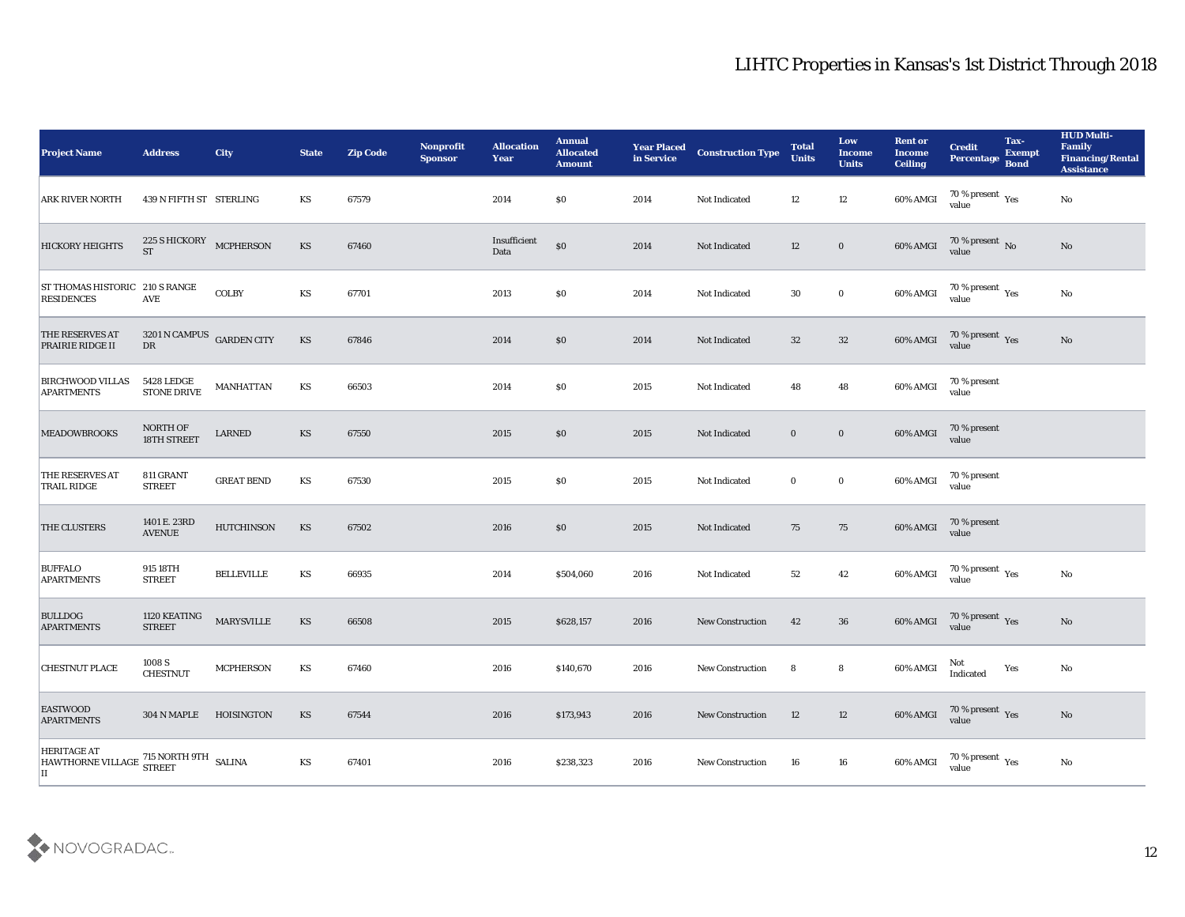| <b>Project Name</b>                                                                     | <b>Address</b>                          | <b>City</b>       | <b>State</b>           | <b>Zip Code</b> | Nonprofit<br><b>Sponsor</b> | <b>Allocation</b><br><b>Year</b> | <b>Annual</b><br><b>Allocated</b><br><b>Amount</b> | <b>Year Placed</b><br>in Service | <b>Construction Type</b> | <b>Total</b><br><b>Units</b> | Low<br><b>Income</b><br><b>Units</b> | <b>Rent or</b><br><b>Income</b><br><b>Ceiling</b> | <b>Credit</b><br>Percentage Bond        | Tax-<br><b>Exempt</b> | <b>HUD Multi-</b><br>Family<br><b>Financing/Rental</b><br><b>Assistance</b> |
|-----------------------------------------------------------------------------------------|-----------------------------------------|-------------------|------------------------|-----------------|-----------------------------|----------------------------------|----------------------------------------------------|----------------------------------|--------------------------|------------------------------|--------------------------------------|---------------------------------------------------|-----------------------------------------|-----------------------|-----------------------------------------------------------------------------|
| <b>ARK RIVER NORTH</b>                                                                  | 439 N FIFTH ST STERLING                 |                   | KS                     | 67579           |                             | 2014                             | \$0\$                                              | 2014                             | Not Indicated            | 12                           | 12                                   | 60% AMGI                                          | $70\,\%$ present $\,$ Yes value         |                       | No                                                                          |
| <b>HICKORY HEIGHTS</b>                                                                  | 225 S HICKORY MCPHERSON<br><b>ST</b>    |                   | <b>KS</b>              | 67460           |                             | Insufficient<br>Data             | $\$0$                                              | 2014                             | Not Indicated            | 12                           | $\bf{0}$                             | 60% AMGI                                          | $70$ % present $\,$ No $\,$ value       |                       | No                                                                          |
| ST THOMAS HISTORIC 210 S RANGE<br><b>RESIDENCES</b>                                     | <b>AVE</b>                              | <b>COLBY</b>      | KS                     | 67701           |                             | 2013                             | \$0\$                                              | 2014                             | Not Indicated            | 30                           | $\bf{0}$                             | 60% AMGI                                          | $70\,\%$ present $\,$ Yes value         |                       | $\mathbf{No}$                                                               |
| <b>THE RESERVES AT</b><br><b>PRAIRIE RIDGE II</b>                                       | 3201 N CAMPUS GARDEN CITY<br>${\rm DR}$ |                   | KS                     | 67846           |                             | 2014                             | \$0\$                                              | 2014                             | Not Indicated            | 32                           | 32                                   | 60% AMGI                                          | $70\,\%$ present $\,\mathrm{Yes}$ value |                       | No                                                                          |
| <b>BIRCHWOOD VILLAS</b><br><b>APARTMENTS</b>                                            | <b>5428 LEDGE</b><br>STONE DRIVE        | <b>MANHATTAN</b>  | KS                     | 66503           |                             | 2014                             | \$0\$                                              | 2015                             | Not Indicated            | 48                           | 48                                   | 60% AMGI                                          | 70 % present<br>value                   |                       |                                                                             |
| <b>MEADOWBROOKS</b>                                                                     | NORTH OF<br>18TH STREET                 | LARNED            | KS                     | 67550           |                             | 2015                             | $\$0$                                              | 2015                             | Not Indicated            | $\bf{0}$                     | $\bf{0}$                             | 60% AMGI                                          | 70 % present<br>value                   |                       |                                                                             |
| THE RESERVES AT<br><b>TRAIL RIDGE</b>                                                   | 811 GRANT<br><b>STREET</b>              | <b>GREAT BEND</b> | KS                     | 67530           |                             | 2015                             | \$0\$                                              | 2015                             | Not Indicated            | $\bf{0}$                     | $\bf{0}$                             | 60% AMGI                                          | 70 % present<br>value                   |                       |                                                                             |
| <b>THE CLUSTERS</b>                                                                     | 1401 E. 23RD<br><b>AVENUE</b>           | <b>HUTCHINSON</b> | KS                     | 67502           |                             | 2016                             | $\$0$                                              | 2015                             | Not Indicated            | 75                           | 75                                   | $60\%$ AMGI                                       | 70 % present<br>value                   |                       |                                                                             |
| <b>BUFFALO</b><br><b>APARTMENTS</b>                                                     | 915 18TH<br><b>STREET</b>               | <b>BELLEVILLE</b> | KS                     | 66935           |                             | 2014                             | \$504,060                                          | 2016                             | Not Indicated            | 52                           | 42                                   | 60% AMGI                                          | $70\,\%$ present $\,$ Yes value         |                       | No                                                                          |
| <b>BULLDOG</b><br><b>APARTMENTS</b>                                                     | 1120 KEATING<br><b>STREET</b>           | <b>MARYSVILLE</b> | KS                     | 66508           |                             | 2015                             | \$628,157                                          | 2016                             | <b>New Construction</b>  | 42                           | 36                                   | 60% AMGI                                          | $70\,\%$ present $\,$ Yes value         |                       | No                                                                          |
| <b>CHESTNUT PLACE</b>                                                                   | 1008 S<br><b>CHESTNUT</b>               | <b>MCPHERSON</b>  | KS                     | 67460           |                             | 2016                             | \$140,670                                          | 2016                             | <b>New Construction</b>  | 8                            | 8                                    | 60% AMGI                                          | Not<br>Indicated                        | Yes                   | No                                                                          |
| <b>EASTWOOD</b><br><b>APARTMENTS</b>                                                    | 304 N MAPLE HOISINGTON                  |                   | KS                     | 67544           |                             | 2016                             | \$173,943                                          | 2016                             | New Construction         | 12                           | $12\,$                               | 60% AMGI                                          | $70\,\%$ present $\,\mathrm{Yes}$ value |                       | No                                                                          |
| <b>HERITAGE AT</b><br>HAWTHORNE VILLAGE 715 NORTH 9TH<br>HAWTHORNE VILLAGE STREET<br>II |                                         |                   | $\mathbf{K}\mathbf{S}$ | 67401           |                             | 2016                             | \$238,323                                          | 2016                             | New Construction         | 16                           | 16                                   | 60% AMGI                                          | 70 % present $_{\rm Yes}$<br>value      |                       | $\mathbf{No}$                                                               |

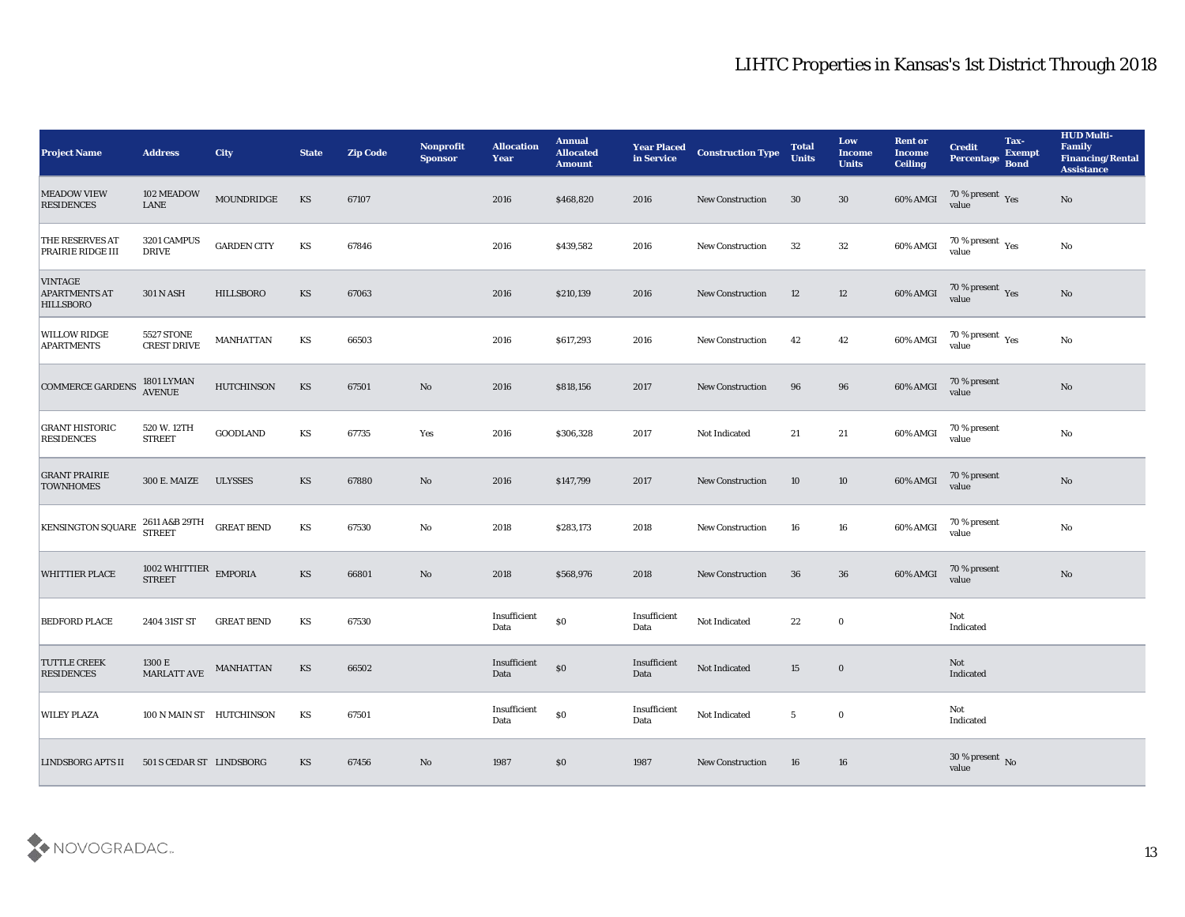| <b>Project Name</b>                                        | <b>Address</b>                              | <b>City</b>        | <b>State</b> | <b>Zip Code</b> | Nonprofit<br><b>Sponsor</b> | <b>Allocation</b><br><b>Year</b> | <b>Annual</b><br><b>Allocated</b><br><b>Amount</b> | <b>Year Placed</b><br>in Service | <b>Construction Type</b> | <b>Total</b><br><b>Units</b> | Low<br><b>Income</b><br><b>Units</b> | <b>Rent or</b><br><b>Income</b><br><b>Ceiling</b> | <b>Credit</b><br>Percentage     | Tax-<br><b>Exempt</b><br><b>Bond</b> | <b>HUD Multi-</b><br>Family<br><b>Financing/Rental</b><br><b>Assistance</b> |
|------------------------------------------------------------|---------------------------------------------|--------------------|--------------|-----------------|-----------------------------|----------------------------------|----------------------------------------------------|----------------------------------|--------------------------|------------------------------|--------------------------------------|---------------------------------------------------|---------------------------------|--------------------------------------|-----------------------------------------------------------------------------|
| <b>MEADOW VIEW</b><br><b>RESIDENCES</b>                    | 102 MEADOW<br>${\rm LANE}$                  | MOUNDRIDGE         | KS           | 67107           |                             | 2016                             | \$468,820                                          | 2016                             | <b>New Construction</b>  | 30                           | 30                                   | 60% AMGI                                          | $\frac{70\%}{8}$ present Yes    |                                      | No                                                                          |
| THE RESERVES AT<br>PRAIRIE RIDGE III                       | 3201 CAMPUS<br><b>DRIVE</b>                 | <b>GARDEN CITY</b> | KS           | 67846           |                             | 2016                             | \$439,582                                          | 2016                             | <b>New Construction</b>  | 32                           | 32                                   | 60% AMGI                                          | $70\,\%$ present $\,$ Yes value |                                      | No                                                                          |
| <b>VINTAGE</b><br><b>APARTMENTS AT</b><br><b>HILLSBORO</b> | <b>301 N ASH</b>                            | <b>HILLSBORO</b>   | KS           | 67063           |                             | 2016                             | \$210,139                                          | 2016                             | <b>New Construction</b>  | 12                           | 12                                   | 60% AMGI                                          | $70\,\%$ present $\,$ Yes value |                                      | No                                                                          |
| <b>WILLOW RIDGE</b><br><b>APARTMENTS</b>                   | <b>5527 STONE</b><br><b>CREST DRIVE</b>     | <b>MANHATTAN</b>   | KS           | 66503           |                             | 2016                             | \$617,293                                          | 2016                             | <b>New Construction</b>  | 42                           | 42                                   | 60% AMGI                                          | $70\,\%$ present $\,$ Yes value |                                      | No                                                                          |
| <b>COMMERCE GARDENS</b>                                    | 1801 LYMAN<br>AVENUE                        | <b>HUTCHINSON</b>  | KS           | 67501           | No                          | 2016                             | \$818,156                                          | 2017                             | <b>New Construction</b>  | 96                           | 96                                   | 60% AMGI                                          | 70 % present<br>value           |                                      | $\rm\thinspace No$                                                          |
| <b>GRANT HISTORIC</b><br><b>RESIDENCES</b>                 | 520 W. 12TH<br><b>STREET</b>                | <b>GOODLAND</b>    | KS           | 67735           | Yes                         | 2016                             | \$306,328                                          | 2017                             | Not Indicated            | 21                           | 21                                   | 60% AMGI                                          | 70 % present<br>value           |                                      | No                                                                          |
| <b>GRANT PRAIRIE</b><br><b>TOWNHOMES</b>                   | 300 E. MAIZE                                | <b>ULYSSES</b>     | KS           | 67880           | No                          | 2016                             | \$147,799                                          | 2017                             | <b>New Construction</b>  | 10                           | 10                                   | 60% AMGI                                          | 70 % present<br>value           |                                      | $\rm\thinspace No$                                                          |
| KENSINGTON SQUARE                                          | 2611 A&B 29TH<br><b>STREET</b>              | <b>GREAT BEND</b>  | KS           | 67530           | No                          | 2018                             | \$283,173                                          | 2018                             | <b>New Construction</b>  | 16                           | 16                                   | 60% AMGI                                          | 70 % present<br>value           |                                      | $\rm\thinspace No$                                                          |
| <b>WHITTIER PLACE</b>                                      | 1002 WHITTIER $\_$ EMPORIA<br><b>STREET</b> |                    | KS           | 66801           | No                          | 2018                             | \$568,976                                          | 2018                             | <b>New Construction</b>  | 36                           | 36                                   | 60% AMGI                                          | 70 % present<br>value           |                                      | No                                                                          |
| <b>BEDFORD PLACE</b>                                       | 2404 31ST ST                                | <b>GREAT BEND</b>  | KS           | 67530           |                             | Insufficient<br>Data             | $\$0$                                              | Insufficient<br>Data             | Not Indicated            | 22                           | $\bf{0}$                             |                                                   | Not<br>Indicated                |                                      |                                                                             |
| <b>TUTTLE CREEK</b><br><b>RESIDENCES</b>                   | 1300 E<br><b>MARLATT AVE</b>                | <b>MANHATTAN</b>   | KS           | 66502           |                             | Insufficient<br>Data             | $\$0$                                              | Insufficient<br>Data             | Not Indicated            | 15                           | $\bf{0}$                             |                                                   | Not<br>Indicated                |                                      |                                                                             |
| <b>WILEY PLAZA</b>                                         | 100 N MAIN ST HUTCHINSON                    |                    | KS           | 67501           |                             | $\bold{Insufficient}$<br>Data    | $\$0$                                              | Insufficient<br>Data             | Not Indicated            | $5\phantom{.0}$              | $\bf{0}$                             |                                                   | Not<br>Indicated                |                                      |                                                                             |
| <b>LINDSBORG APTS II</b>                                   | 501 S CEDAR ST LINDSBORG                    |                    | KS           | 67456           | No                          | 1987                             | \$0                                                | 1987                             | New Construction         | 16                           | 16                                   |                                                   | $30\,\%$ present $\,$ No value  |                                      |                                                                             |

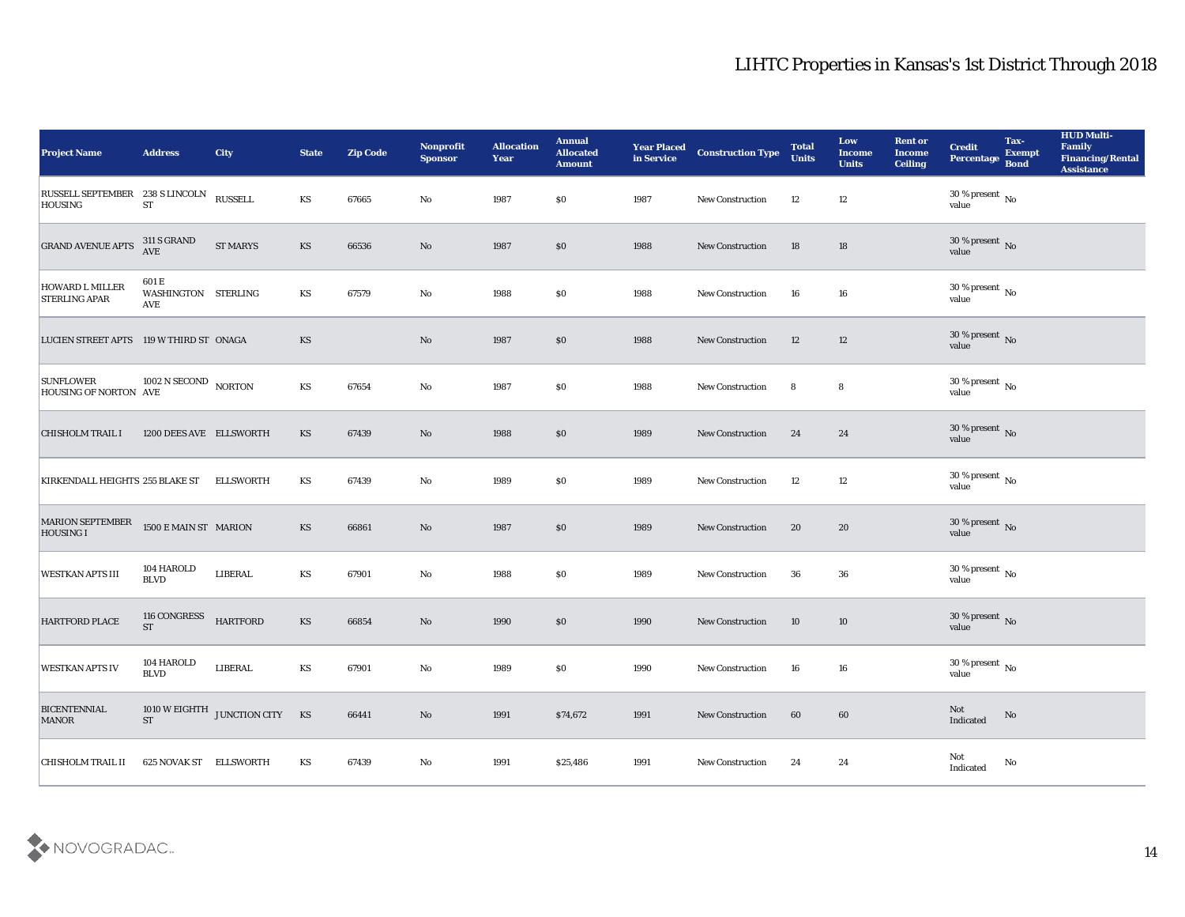| <b>Project Name</b>                            | <b>Address</b>                             | <b>City</b>                    | <b>State</b> | <b>Zip Code</b> | Nonprofit<br><b>Sponsor</b> | <b>Allocation</b><br><b>Year</b> | <b>Annual</b><br><b>Allocated</b><br><b>Amount</b> | <b>Year Placed</b><br>in Service | <b>Construction Type</b> | <b>Total</b><br><b>Units</b> | Low<br><b>Income</b><br><b>Units</b> | <b>Rent or</b><br><b>Income</b><br><b>Ceiling</b> | <b>Credit</b><br><b>Percentage</b>    | Tax-<br><b>Exempt</b><br><b>Bond</b> | <b>HUD Multi-</b><br>Family<br><b>Financing/Rental</b><br><b>Assistance</b> |
|------------------------------------------------|--------------------------------------------|--------------------------------|--------------|-----------------|-----------------------------|----------------------------------|----------------------------------------------------|----------------------------------|--------------------------|------------------------------|--------------------------------------|---------------------------------------------------|---------------------------------------|--------------------------------------|-----------------------------------------------------------------------------|
| RUSSELL SEPTEMBER 238 S LINCOLN<br>HOUSING     | <b>ST</b>                                  | <b>RUSSELL</b>                 | KS           | 67665           | No                          | 1987                             | \$0                                                | 1987                             | <b>New Construction</b>  | 12                           | 12                                   |                                                   | 30 % present $\,$ No $\,$<br>value    |                                      |                                                                             |
| <b>GRAND AVENUE APTS</b>                       | 311 S GRAND<br>AVE                         | <b>ST MARYS</b>                | <b>KS</b>    | 66536           | No                          | 1987                             | \$0                                                | 1988                             | <b>New Construction</b>  | 18                           | 18                                   |                                                   | $30\,\%$ present $\,$ No value        |                                      |                                                                             |
| <b>HOWARD L MILLER</b><br><b>STERLING APAR</b> | 601 E<br>WASHINGTON STERLING<br><b>AVE</b> |                                | KS           | 67579           | $\mathbf{N}\mathbf{o}$      | 1988                             | \$0                                                | 1988                             | <b>New Construction</b>  | 16                           | 16                                   |                                                   | $30\,\%$ present $\,$ No value        |                                      |                                                                             |
| LUCIEN STREET APTS 119 W THIRD ST ONAGA        |                                            |                                | <b>KS</b>    |                 | $\mathbf{N}\mathbf{o}$      | 1987                             | \$0                                                | 1988                             | New Construction         | 12                           | 12                                   |                                                   | $30\,\%$ present $\,$ No value        |                                      |                                                                             |
| <b>SUNFLOWER</b><br>HOUSING OF NORTON AVE      | 1002 N SECOND NORTON                       |                                | KS           | 67654           | $\rm\thinspace No$          | 1987                             | \$0                                                | 1988                             | <b>New Construction</b>  | 8                            | 8                                    |                                                   | $30\,\%$ present $\,$ No value        |                                      |                                                                             |
| <b>CHISHOLM TRAIL I</b>                        | 1200 DEES AVE ELLSWORTH                    |                                | <b>KS</b>    | 67439           | No                          | 1988                             | \$0                                                | 1989                             | <b>New Construction</b>  | 24                           | 24                                   |                                                   | $30\,\%$ present $\,$ No value        |                                      |                                                                             |
| KIRKENDALL HEIGHTS 255 BLAKE ST                |                                            | <b>ELLSWORTH</b>               | KS           | 67439           | No                          | 1989                             | \$0                                                | 1989                             | New Construction         | 12                           | 12                                   |                                                   | $30\,\%$ present $\,$ No value        |                                      |                                                                             |
| <b>MARION SEPTEMBER</b><br><b>HOUSING I</b>    | 1500 E MAIN ST MARION                      |                                | <b>KS</b>    | 66861           | No                          | 1987                             | \$0                                                | 1989                             | <b>New Construction</b>  | 20                           | 20                                   |                                                   | $30\,\%$ present $\,$ No value        |                                      |                                                                             |
| <b>WESTKAN APTS III</b>                        | 104 HAROLD<br><b>BLVD</b>                  | LIBERAL                        | KS           | 67901           | No                          | 1988                             | \$0                                                | 1989                             | <b>New Construction</b>  | 36                           | 36                                   |                                                   | $30\,\%$ present $\,$ No value        |                                      |                                                                             |
| <b>HARTFORD PLACE</b>                          | 116 CONGRESS<br><b>ST</b>                  | <b>HARTFORD</b>                | <b>KS</b>    | 66854           | No                          | 1990                             | \$0                                                | 1990                             | <b>New Construction</b>  | 10                           | 10                                   |                                                   | $30\,\%$ present $\,$ No value        |                                      |                                                                             |
| <b>WESTKAN APTS IV</b>                         | 104 HAROLD<br><b>BLVD</b>                  | LIBERAL                        | <b>KS</b>    | 67901           | No                          | 1989                             | \$0                                                | 1990                             | <b>New Construction</b>  | 16                           | 16                                   |                                                   | 30 % present $\,$ No $\,$<br>value    |                                      |                                                                             |
| <b>BICENTENNIAL</b><br><b>MANOR</b>            | <b>ST</b>                                  | 1010 W EIGHTH JUNCTION CITY KS |              | 66441           | $\rm\thinspace No$          | 1991                             | \$74,672                                           | 1991                             | <b>New Construction</b>  | 60                           | $60\,$                               |                                                   | Not<br>Indicated                      | $\rm\thinspace No$                   |                                                                             |
| <b>CHISHOLM TRAIL II</b>                       | 625 NOVAK ST ELLSWORTH                     |                                | KS           | 67439           | $\rm\thinspace No$          | 1991                             | \$25,486                                           | 1991                             | New Construction         | 24                           | 24                                   |                                                   | $\operatorname{\bf Not}$<br>Indicated | $\mathbf {No}$                       |                                                                             |